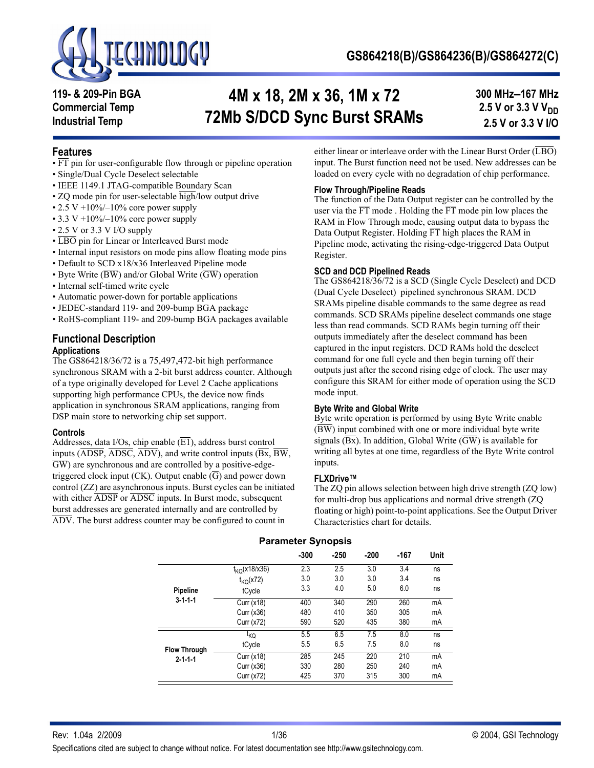

**119- & 209-Pin BGA Commercial Temp Industrial Temp**

# **4M x 18, 2M x 36, 1M x 72 72Mb S/DCD Sync Burst SRAMs**

**300 MHz–167 MHz 2.5 V or 3.3 V V<sub>DD</sub> 2.5 V or 3.3 V I/O**

### **Features**

- FT pin for user-configurable flow through or pipeline operation
- Single/Dual Cycle Deselect selectable
- IEEE 1149.1 JTAG-compatible Boundary Scan
- ZQ mode pin for user-selectable high/low output drive
- 2.5 V +10%/-10% core power supply
- 3.3 V +10% $-10%$  core power supply
- 2.5 V or 3.3 V I/O supply
- LBO pin for Linear or Interleaved Burst mode
- Internal input resistors on mode pins allow floating mode pins
- Default to SCD x18/x36 Interleaved Pipeline mode
- Byte Write ( $\overline{BW}$ ) and/or Global Write ( $\overline{GW}$ ) operation
- Internal self-timed write cycle
- Automatic power-down for portable applications
- JEDEC-standard 119- and 209-bump BGA package
- RoHS-compliant 119- and 209-bump BGA packages available

# **Functional Description**

### **Applications**

The GS864218/36/72 is a 75,497,472-bit high performance synchronous SRAM with a 2-bit burst address counter. Although of a type originally developed for Level 2 Cache applications supporting high performance CPUs, the device now finds application in synchronous SRAM applications, ranging from DSP main store to networking chip set support.

#### **Controls**

Addresses, data I/Os, chip enable  $(\overline{E1})$ , address burst control inputs ( $\overline{ADSP}$ ,  $\overline{ADSC}$ ,  $\overline{ADV}$ ), and write control inputs ( $\overline{Bx}$ ,  $\overline{BW}$ , GW) are synchronous and are controlled by a positive-edgetriggered clock input (CK). Output enable  $(\overline{G})$  and power down control (ZZ) are asynchronous inputs. Burst cycles can be initiated with either  $\overline{\text{ADSP}}$  or  $\overline{\text{ADSC}}$  inputs. In Burst mode, subsequent burst addresses are generated internally and are controlled by ADV. The burst address counter may be configured to count in

either linear or interleave order with the Linear Burst Order  $(\overline{LBO})$ input. The Burst function need not be used. New addresses can be loaded on every cycle with no degradation of chip performance.

### **Flow Through/Pipeline Reads**

The function of the Data Output register can be controlled by the user via the  $\overline{FT}$  mode . Holding the  $\overline{FT}$  mode pin low places the RAM in Flow Through mode, causing output data to bypass the Data Output Register. Holding FT high places the RAM in Pipeline mode, activating the rising-edge-triggered Data Output Register.

#### **SCD and DCD Pipelined Reads**

The GS864218/36/72 is a SCD (Single Cycle Deselect) and DCD (Dual Cycle Deselect) pipelined synchronous SRAM. DCD SRAMs pipeline disable commands to the same degree as read commands. SCD SRAMs pipeline deselect commands one stage less than read commands. SCD RAMs begin turning off their outputs immediately after the deselect command has been captured in the input registers. DCD RAMs hold the deselect command for one full cycle and then begin turning off their outputs just after the second rising edge of clock. The user may configure this SRAM for either mode of operation using the SCD mode input.

#### **Byte Write and Global Write**

Byte write operation is performed by using Byte Write enable  $(\overline{BW})$  input combined with one or more individual byte write signals  $(\overline{Bx})$ . In addition, Global Write  $(\overline{GW})$  is available for writing all bytes at one time, regardless of the Byte Write control inputs.

#### **FLXDrive™**

The ZQ pin allows selection between high drive strength (ZQ low) for multi-drop bus applications and normal drive strength (ZQ floating or high) point-to-point applications. See the Output Driver Characteristics chart for details.

| <b>Example of Disposition</b> |                          |        |            |        |      |      |  |  |  |
|-------------------------------|--------------------------|--------|------------|--------|------|------|--|--|--|
|                               |                          | $-300$ | $-250$     | $-200$ | -167 | Unit |  |  |  |
|                               | $t_{\text{KQ}}(x18/x36)$ | 2.3    | 2.5        | 3.0    | 3.4  | ns   |  |  |  |
|                               | $t_{\text{KQ}}(x72)$     | 3.0    | 3.0        | 3.0    | 3.4  | ns   |  |  |  |
| Pipeline                      | tCycle                   | 3.3    | 4.0        | 5.0    | 6.0  | ns   |  |  |  |
| $3 - 1 - 1$                   | Curr $(x18)$             | 400    | 290<br>340 |        | 260  | mA   |  |  |  |
|                               | Curr $(x36)$             | 480    | 410        | 350    | 305  | mA   |  |  |  |
|                               | Curr (x72)               | 590    | 520        | 435    | 380  | mA   |  |  |  |
|                               | t <sub>KQ</sub>          | 5.5    | 6.5        | 7.5    | 8.0  | ns   |  |  |  |
| <b>Flow Through</b>           | tCycle                   | 5.5    | 6.5        | 7.5    | 8.0  | ns   |  |  |  |
| $2 - 1 - 1 - 1$               | Curr (x18)               | 285    | 245        | 220    | 210  | mA   |  |  |  |
|                               | Curr $(x36)$             | 330    | 280        | 250    | 240  | mA   |  |  |  |
|                               | Curr (x72)               | 425    | 370        | 315    | 300  | mA   |  |  |  |

### **Parameter Synopsis**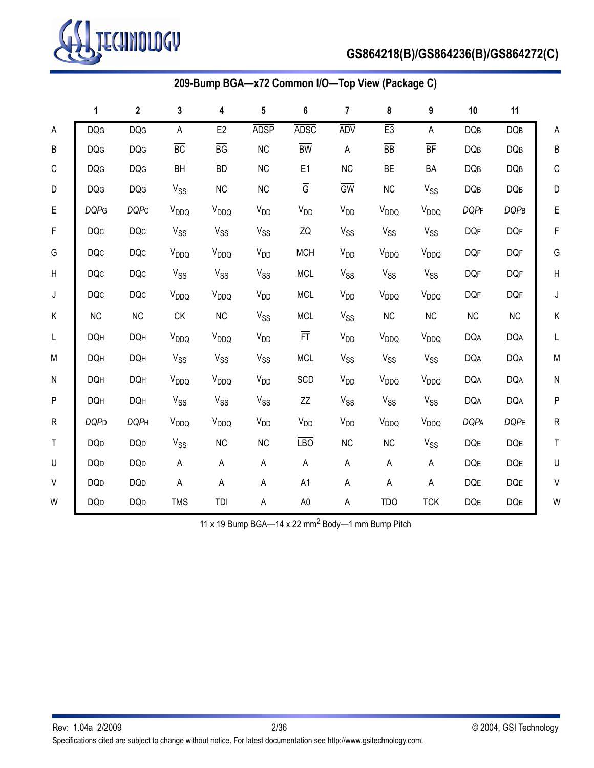

# **GS864218(B)/GS864236(B)/GS864272(C)**

|             |             |              |                  |                  |                         | 209-Bump BGA-x72 Common I/O-Top View (Package C) |                       |                  |                        |             |                |              |
|-------------|-------------|--------------|------------------|------------------|-------------------------|--------------------------------------------------|-----------------------|------------------|------------------------|-------------|----------------|--------------|
|             | 1           | $\mathbf{2}$ | $\mathbf{3}$     | 4                | $\overline{\mathbf{5}}$ | $\bf 6$                                          | $\overline{7}$        | 8                | 9                      | 10          | 11             |              |
| A           | <b>DQG</b>  | <b>DQG</b>   | A                | E <sub>2</sub>   | <b>ADSP</b>             | <b>ADSC</b>                                      | <b>ADV</b>            | E3               | А                      | <b>DQB</b>  | <b>DQB</b>     | A            |
| B           | <b>DQG</b>  | <b>DQG</b>   | BC               | $\overline{BG}$  | NC                      | $\overline{BW}$                                  | A                     | $\overline{BB}$  | BF                     | <b>DQB</b>  | <b>DQB</b>     | B            |
| $\mathsf C$ | <b>DQG</b>  | <b>DQG</b>   | $\overline{BH}$  | BD               | NC                      | E1                                               | NC                    | $\overline{BE}$  | $\overline{BA}$        | <b>DQB</b>  | DQB            | $\mathsf C$  |
| D           | <b>DQG</b>  | <b>DQG</b>   | $V_{SS}$         | NC               | NC                      | $\overline{\mathbb{G}}$                          | $\overline{GW}$       | NC               | $V_{SS}$               | DQB         | DQB            | D            |
| E           | <b>DQPG</b> | <b>DQPC</b>  | V <sub>DDQ</sub> | V <sub>DDQ</sub> | $V_{DD}$                | $V_{DD}$                                         | $V_{DD}$              | V <sub>DDQ</sub> | V <sub>DDQ</sub>       | <b>DQPF</b> | <b>DQPB</b>    | E            |
| F           | <b>DQc</b>  | <b>DQc</b>   | $V_{SS}$         | $V_{SS}$         | <b>V<sub>SS</sub></b>   | ZQ                                               | <b>V<sub>SS</sub></b> | $V_{SS}$         | <b>V<sub>SS</sub></b>  | <b>DQF</b>  | <b>DQF</b>     | F            |
| G           | <b>DQc</b>  | <b>DQc</b>   | V <sub>DDQ</sub> | V <sub>DDQ</sub> | <b>V<sub>DD</sub></b>   | <b>MCH</b>                                       | V <sub>DD</sub>       | V <sub>DDQ</sub> | V <sub>DDQ</sub>       | <b>DQF</b>  | <b>DQF</b>     | G            |
| Н           | <b>DQc</b>  | DQC          | $V_{SS}$         | $V_{SS}$         | $V_{SS}$                | <b>MCL</b>                                       | $V_{SS}$              | $V_{SS}$         | $V_{SS}$               | <b>DQF</b>  | <b>DQF</b>     | $\mathsf{H}$ |
| J           | <b>DQc</b>  | <b>DQc</b>   | V <sub>DDQ</sub> | V <sub>DDQ</sub> | $V_{DD}$                | <b>MCL</b>                                       | $V_{DD}$              | V <sub>DDQ</sub> | <b>V<sub>DDQ</sub></b> | <b>DQF</b>  | <b>DQF</b>     | J            |
| Κ           | NC          | NC           | ${\sf C}{\sf K}$ | NC               | $V_{SS}$                | <b>MCL</b>                                       | $V_{SS}$              | <b>NC</b>        | NC                     | NC          | NC             | K            |
| L           | <b>DQH</b>  | <b>DQH</b>   | V <sub>DDQ</sub> | V <sub>DDQ</sub> | $V_{DD}$                | 戸.                                               | $V_{DD}$              | V <sub>DDQ</sub> | $V_{DDQ}$              | <b>DQA</b>  | <b>DQA</b>     | L            |
| ${\sf M}$   | <b>DQH</b>  | <b>DQH</b>   | $V_{SS}$         | $V_{SS}$         | $V_{SS}$                | <b>MCL</b>                                       | $V_{SS}$              | $V_{SS}$         | $V_{SS}$               | <b>DQA</b>  | <b>DQA</b>     | M            |
| N           | <b>DQH</b>  | <b>DQH</b>   | $V_{DDQ}$        | V <sub>DDQ</sub> | $V_{DD}$                | SCD                                              | $V_{DD}$              | V <sub>DDQ</sub> | V <sub>DDQ</sub>       | <b>DQA</b>  | <b>DQA</b>     | $\mathsf{N}$ |
| P           | <b>DQH</b>  | <b>DQH</b>   | $V_{SS}$         | $V_{SS}$         | $V_{SS}$                | ΖZ                                               | $V_{SS}$              | $V_{SS}$         | $V_{SS}$               | <b>DQA</b>  | <b>DQA</b>     | ${\sf P}$    |
| R           | <b>DQPD</b> | <b>DQPH</b>  | V <sub>DDQ</sub> | V <sub>DDQ</sub> | $V_{DD}$                | $V_{DD}$                                         | $V_{DD}$              | V <sub>DDQ</sub> | V <sub>DDQ</sub>       | <b>DQPA</b> | <b>DQPE</b>    | $\mathsf{R}$ |
| $\mathsf T$ | <b>DQD</b>  | <b>DQD</b>   | $V_{SS}$         | NC               | NC                      | <b>LBO</b>                                       | NC                    | NC               | $V_{SS}$               | DQE         | $\mathsf{DQE}$ | $\mathsf T$  |
| U           | <b>DQD</b>  | <b>DQD</b>   | A                | A                | А                       | $\sf A$                                          | A                     | $\mathsf{A}$     | А                      | DQE         | DQE            | U            |
| V           | <b>DQD</b>  | <b>DQD</b>   | A                | A                | Α                       | A1                                               | A                     | A                | А                      | DQE         | DQE            | $\sf V$      |
| W           | <b>DQD</b>  | <b>DQD</b>   | <b>TMS</b>       | TDI              | A                       | $\mathsf{A}0$                                    | A                     | <b>TDO</b>       | <b>TCK</b>             | DQE         | DQE            | W            |

11 x 19 Bump BGA-14 x 22 mm<sup>2</sup> Body-1 mm Bump Pitch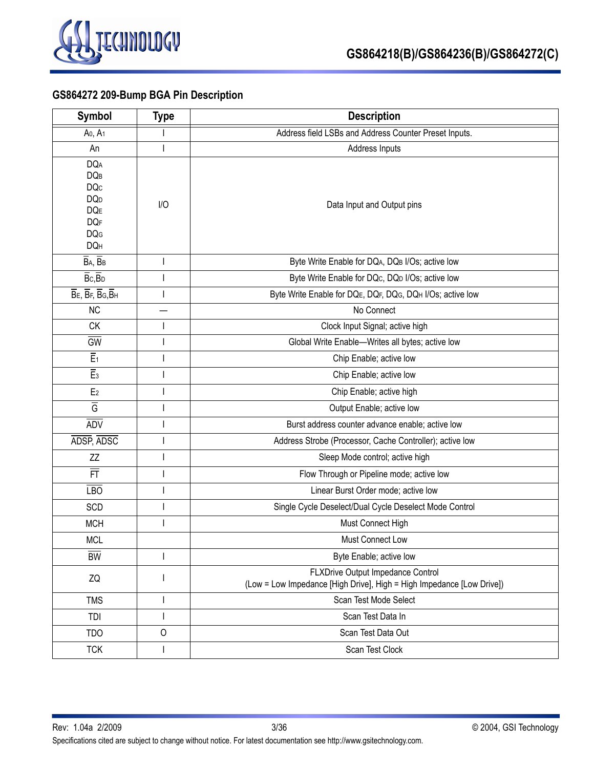

# **GS864272 209-Bump BGA Pin Description**

| <b>Symbol</b>                                                                                              | <b>Type</b>  | <b>Description</b>                                                                                         |
|------------------------------------------------------------------------------------------------------------|--------------|------------------------------------------------------------------------------------------------------------|
| A <sub>0</sub> , A <sub>1</sub>                                                                            |              | Address field LSBs and Address Counter Preset Inputs.                                                      |
| An                                                                                                         |              | Address Inputs                                                                                             |
| <b>DQA</b><br><b>DQB</b><br><b>DQc</b><br><b>DQ</b> <sub>D</sub><br>DQE<br><b>DQF</b><br><b>DQG</b><br>DQH | I/O          | Data Input and Output pins                                                                                 |
| $\overline{B}$ A, $\overline{B}$ B                                                                         | I            | Byte Write Enable for DQA, DQB I/Os; active low                                                            |
| $\overline{B}$ c, $\overline{B}$ <sub>D</sub>                                                              |              | Byte Write Enable for DQc, DQp I/Os; active low                                                            |
| $\overline{B}$ E, $\overline{B}$ F, $\overline{B}$ G, $\overline{B}$ H                                     | $\mathbf{I}$ | Byte Write Enable for DQE, DQF, DQG, DQH I/Os; active low                                                  |
| <b>NC</b>                                                                                                  |              | No Connect                                                                                                 |
| <b>CK</b>                                                                                                  |              | Clock Input Signal; active high                                                                            |
| <b>GW</b>                                                                                                  |              | Global Write Enable-Writes all bytes; active low                                                           |
| $\overline{E_1}$                                                                                           |              | Chip Enable; active low                                                                                    |
| $\overline{E}_3$                                                                                           |              | Chip Enable; active low                                                                                    |
| E <sub>2</sub>                                                                                             | I            | Chip Enable; active high                                                                                   |
| $\overline{G}$                                                                                             |              | Output Enable; active low                                                                                  |
| <b>ADV</b>                                                                                                 |              | Burst address counter advance enable; active low                                                           |
| ADSP, ADSC                                                                                                 |              | Address Strobe (Processor, Cache Controller); active low                                                   |
| ZZ                                                                                                         | J            | Sleep Mode control; active high                                                                            |
| 亓                                                                                                          |              | Flow Through or Pipeline mode; active low                                                                  |
| $E$ <sub>LBO</sub>                                                                                         | J            | Linear Burst Order mode; active low                                                                        |
| SCD                                                                                                        |              | Single Cycle Deselect/Dual Cycle Deselect Mode Control                                                     |
| <b>MCH</b>                                                                                                 |              | Must Connect High                                                                                          |
| <b>MCL</b>                                                                                                 |              | Must Connect Low                                                                                           |
| $\overline{BW}$                                                                                            |              | Byte Enable; active low                                                                                    |
| ZQ                                                                                                         |              | FLXDrive Output Impedance Control<br>(Low = Low Impedance [High Drive], High = High Impedance [Low Drive]) |
| <b>TMS</b>                                                                                                 |              | Scan Test Mode Select                                                                                      |
| TDI                                                                                                        | I            | Scan Test Data In                                                                                          |
| <b>TDO</b>                                                                                                 | $\circ$      | Scan Test Data Out                                                                                         |
| <b>TCK</b>                                                                                                 | $\mathbf{I}$ | Scan Test Clock                                                                                            |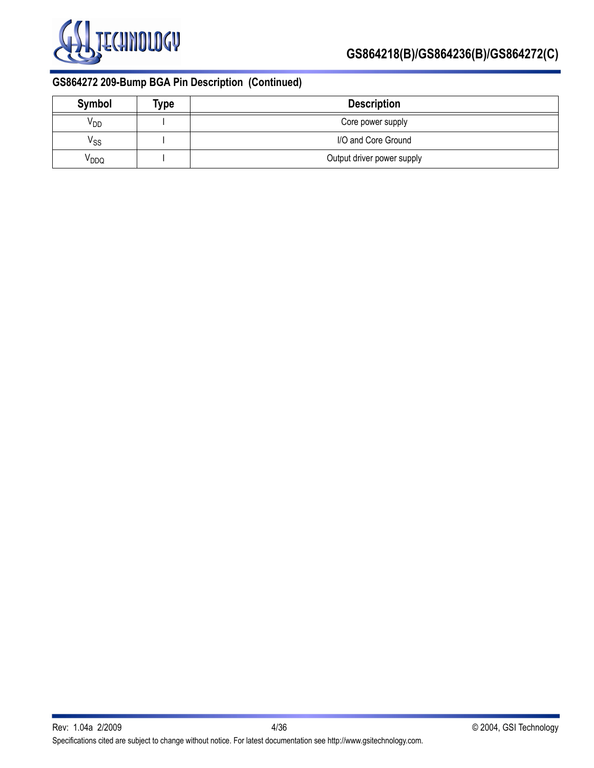

# **GS864272 209-Bump BGA Pin Description (Continued)**

| Symbol                     | Type | <b>Description</b>         |
|----------------------------|------|----------------------------|
| V <sub>DD</sub>            |      | Core power supply          |
| $\mathsf{V}_{\mathsf{SS}}$ |      | I/O and Core Ground        |
| V <sub>DDQ</sub>           |      | Output driver power supply |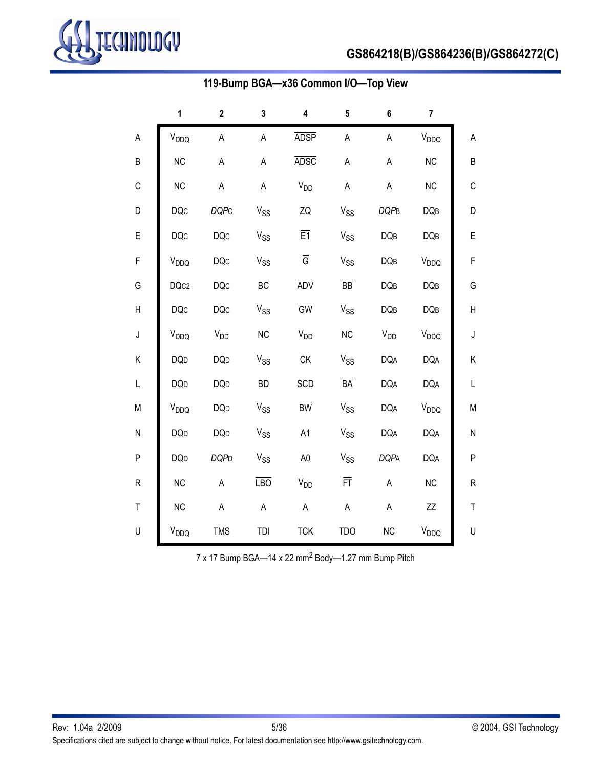

# **GS864218(B)/GS864236(B)/GS864272(C)**

|             | 1                      | $\mathbf 2$ | $\mathbf 3$                  | 4                     | 5                     | 6           | 7                |              |
|-------------|------------------------|-------------|------------------------------|-----------------------|-----------------------|-------------|------------------|--------------|
| A           | V <sub>DDQ</sub>       | A           | A                            | <b>ADSP</b>           | $\mathsf A$           | $\mathsf A$ | V <sub>DDQ</sub> | А            |
| B           | <b>NC</b>              | A           | A                            | <b>ADSC</b>           | A                     | $\sf A$     | NC               | B            |
| С           | <b>NC</b>              | A           | A                            | <b>V<sub>DD</sub></b> | A                     | $\mathsf A$ | NC               | C            |
| D           | <b>DQc</b>             | <b>DQPC</b> | V <sub>SS</sub>              | ZQ                    | <b>V<sub>SS</sub></b> | <b>DQPB</b> | DQB              | D            |
| E           | <b>DQc</b>             | <b>DQc</b>  | $V_{SS}$                     | $\overline{E1}$       | $V_{SS}$              | <b>DQB</b>  | DQB              | E            |
| F           | $V_{DDQ}$              | <b>DQc</b>  | $V_{SS}$                     | $\overline{G}$        | $V_{SS}$              | DQB         | V <sub>DDQ</sub> | $\mathsf F$  |
| G           | DQc2                   | <b>DQc</b>  | BC                           | <b>ADV</b>            | $\overline{BB}$       | <b>DQB</b>  | DQB              | G            |
| Н           | <b>DQc</b>             | <b>DQc</b>  | $V_{SS}$                     | GW                    | $V_{SS}$              | DQB         | DQB              | Н            |
| $\mathsf J$ | V <sub>DDQ</sub>       | $V_{DD}$    | <b>NC</b>                    | $V_{DD}$              | <b>NC</b>             | $V_{DD}$    | $V_{DDQ}$        | J            |
| Κ           | <b>DQD</b>             | <b>DQD</b>  | $V_{SS}$                     | CK                    | $V_{SS}$              | <b>DQA</b>  | <b>DQA</b>       | Κ            |
| L           | <b>DQD</b>             | <b>DQD</b>  | BD                           | SCD                   | BA                    | <b>DQA</b>  | <b>DQA</b>       | L            |
| М           | <b>V<sub>DDQ</sub></b> | <b>DQD</b>  | $V_{SS}$                     | $\overline{BW}$       | $V_{SS}$              | <b>DQA</b>  | $V_{DDQ}$        | M            |
| N           | <b>DQD</b>             | <b>DQD</b>  | $\ensuremath{V_{\text{SS}}}$ | A <sub>1</sub>        | $V_{SS}$              | <b>DQA</b>  | <b>DQA</b>       | N            |
| P           | <b>DQD</b>             | <b>DQPD</b> | <b>V<sub>SS</sub></b>        | A <sub>0</sub>        | <b>V<sub>SS</sub></b> | <b>DQPA</b> | <b>DQA</b>       | $\mathsf{P}$ |
| ${\sf R}$   | <b>NC</b>              | A           | $\overline{LBO}$             | V <sub>DD</sub>       | 亓                     | A           | <b>NC</b>        | R            |
| $\top$      | <b>NC</b>              | A           | A                            | $\mathsf A$           | $\mathsf A$           | $\sf A$     | ΖZ               | $\sf T$      |
| U           | $V_{DDQ}$              | <b>TMS</b>  | TDI                          | <b>TCK</b>            | <b>TDO</b>            | NC          | $V_{DDQ}$        | U            |

# **119-Bump BGA—x36 Common I/O—Top View**

7 x 17 Bump BGA-14 x 22 mm<sup>2</sup> Body-1.27 mm Bump Pitch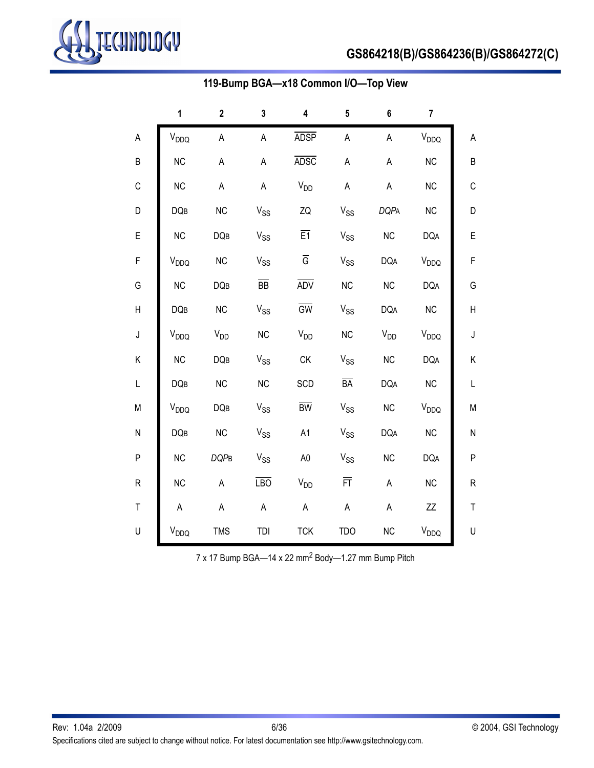

# **GS864218(B)/GS864236(B)/GS864272(C)**

|             | 1                | $\mathbf 2$ | 3                     | 4                       | 5                     | 6           | $\overline{7}$   |              |
|-------------|------------------|-------------|-----------------------|-------------------------|-----------------------|-------------|------------------|--------------|
| A           | V <sub>DDQ</sub> | A           | $\mathsf A$           | <b>ADSP</b>             | $\mathsf A$           | $\mathsf A$ | V <sub>DDQ</sub> | A            |
| B           | <b>NC</b>        | A           | A                     | <b>ADSC</b>             | $\mathsf A$           | A           | <b>NC</b>        | B            |
| С           | <b>NC</b>        | $\mathsf A$ | A                     | V <sub>DD</sub>         | $\mathsf A$           | A           | <b>NC</b>        | $\mathsf C$  |
| D           | <b>DQB</b>       | <b>NC</b>   | $V_{SS}$              | ZQ                      | $V_{SS}$              | <b>DQPA</b> | NC               | D            |
| E           | <b>NC</b>        | <b>DQB</b>  | $V_{SS}$              | E1                      | $V_{SS}$              | <b>NC</b>   | <b>DQA</b>       | E            |
| F           | $V_{DDQ}$        | <b>NC</b>   | $V_{SS}$              | $\overline{\mathsf{G}}$ | $V_{SS}$              | <b>DQA</b>  | V <sub>DDQ</sub> | F            |
| G           | <b>NC</b>        | <b>DQB</b>  | $\overline{BB}$       | <b>ADV</b>              | NC                    | <b>NC</b>   | <b>DQA</b>       | G            |
| Н           | <b>DQB</b>       | <b>NC</b>   | $V_{SS}$              | $\overline{GW}$         | $V_{SS}$              | <b>DQA</b>  | NC               | Н            |
| $\sf J$     | $V_{DDQ}$        | $V_{DD}$    | NC                    | $V_{DD}$                | <b>NC</b>             | $V_{DD}$    | $V_{DDQ}$        | J            |
| Κ           | <b>NC</b>        | DQB         | $V_{SS}$              | CK                      | $V_{SS}$              | NC          | <b>DQA</b>       | Κ            |
| L           | <b>DQB</b>       | NC          | NC                    | SCD                     | $\overline{BA}$       | <b>DQA</b>  | NC               | L            |
| М           | $V_{DDQ}$        | DQB         | $V_{SS}$              | $\overline{BW}$         | $V_{SS}$              | NC          | $V_{DDQ}$        | M            |
| N           | <b>DQB</b>       | NC          | <b>V<sub>SS</sub></b> | A <sub>1</sub>          | <b>V<sub>SS</sub></b> | <b>DQA</b>  | NC               | ${\sf N}$    |
| P           | <b>NC</b>        | <b>DQPB</b> | <b>V<sub>SS</sub></b> | A <sub>0</sub>          | <b>V<sub>SS</sub></b> | <b>NC</b>   | <b>DQA</b>       | $\mathsf{P}$ |
| ${\sf R}$   | <b>NC</b>        | A           | <b>LBO</b>            | <b>V<sub>DD</sub></b>   | 亓                     | $\sf A$     | NC               | ${\sf R}$    |
| $\mathsf T$ | $\mathsf A$      | A           | $\mathsf A$           | $\mathsf A$             | $\mathsf A$           | $\sf A$     | ΖZ               | T            |
| U           | V <sub>DDQ</sub> | <b>TMS</b>  | TDI                   | <b>TCK</b>              | <b>TDO</b>            | NC          | $\rm V_{DDQ}$    | U            |

# **119-Bump BGA—x18 Common I/O—Top View**

7 x 17 Bump BGA-14 x 22 mm<sup>2</sup> Body-1.27 mm Bump Pitch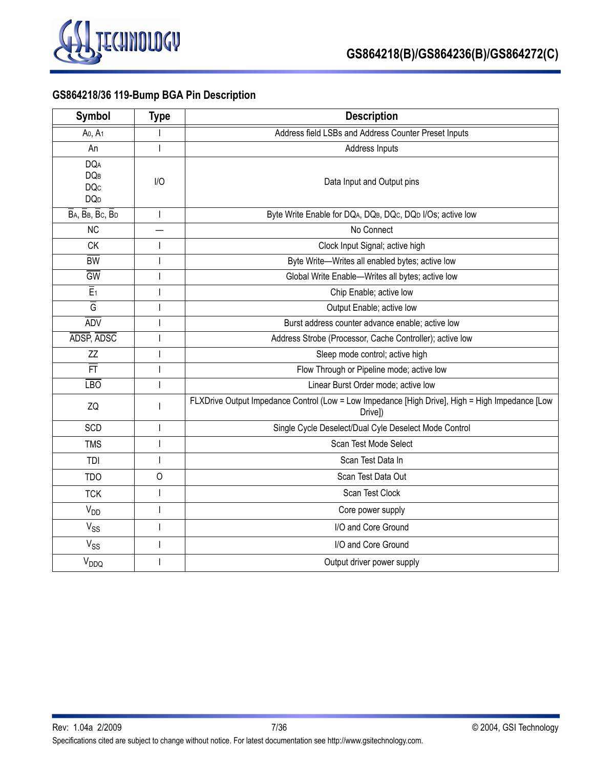

# **GS864218/36 119-Bump BGA Pin Description**

| <b>Symbol</b>                                                          | <b>Type</b>              | <b>Description</b>                                                                                         |
|------------------------------------------------------------------------|--------------------------|------------------------------------------------------------------------------------------------------------|
| Ao, A <sub>1</sub>                                                     |                          | Address field LSBs and Address Counter Preset Inputs                                                       |
| An                                                                     | T                        | Address Inputs                                                                                             |
| <b>DQA</b><br><b>DQB</b><br><b>DQc</b><br><b>DQ</b> <sub>D</sub>       | I/O                      | Data Input and Output pins                                                                                 |
| $\overline{B}$ A, $\overline{B}$ B, $\overline{B}$ C, $\overline{B}$ D |                          | Byte Write Enable for DQA, DQB, DQc, DQD I/Os; active low                                                  |
| <b>NC</b>                                                              |                          | No Connect                                                                                                 |
| <b>CK</b>                                                              |                          | Clock Input Signal; active high                                                                            |
| $\overline{BW}$                                                        |                          | Byte Write-Writes all enabled bytes; active low                                                            |
| <b>GW</b>                                                              |                          | Global Write Enable-Writes all bytes; active low                                                           |
| $\overline{E}_1$                                                       |                          | Chip Enable; active low                                                                                    |
| $\overline{G}$                                                         |                          | Output Enable; active low                                                                                  |
| <b>ADV</b>                                                             |                          | Burst address counter advance enable; active low                                                           |
| ADSP, ADSC                                                             |                          | Address Strobe (Processor, Cache Controller); active low                                                   |
| ZZ                                                                     |                          | Sleep mode control; active high                                                                            |
| FT                                                                     |                          | Flow Through or Pipeline mode; active low                                                                  |
| $E$ <sub>D</sub>                                                       |                          | Linear Burst Order mode; active low                                                                        |
| ZQ                                                                     |                          | FLXDrive Output Impedance Control (Low = Low Impedance [High Drive], High = High Impedance [Low<br>Drivel) |
| SCD                                                                    | I                        | Single Cycle Deselect/Dual Cyle Deselect Mode Control                                                      |
| <b>TMS</b>                                                             |                          | Scan Test Mode Select                                                                                      |
| TDI                                                                    |                          | Scan Test Data In                                                                                          |
| <b>TDO</b>                                                             | $\circ$                  | Scan Test Data Out                                                                                         |
| <b>TCK</b>                                                             |                          | Scan Test Clock                                                                                            |
| <b>V<sub>DD</sub></b>                                                  |                          | Core power supply                                                                                          |
| $V_{SS}$                                                               | I                        | I/O and Core Ground                                                                                        |
| $V_{SS}$                                                               | I                        | I/O and Core Ground                                                                                        |
| $V_{DDQ}$                                                              | $\overline{\phantom{a}}$ | Output driver power supply                                                                                 |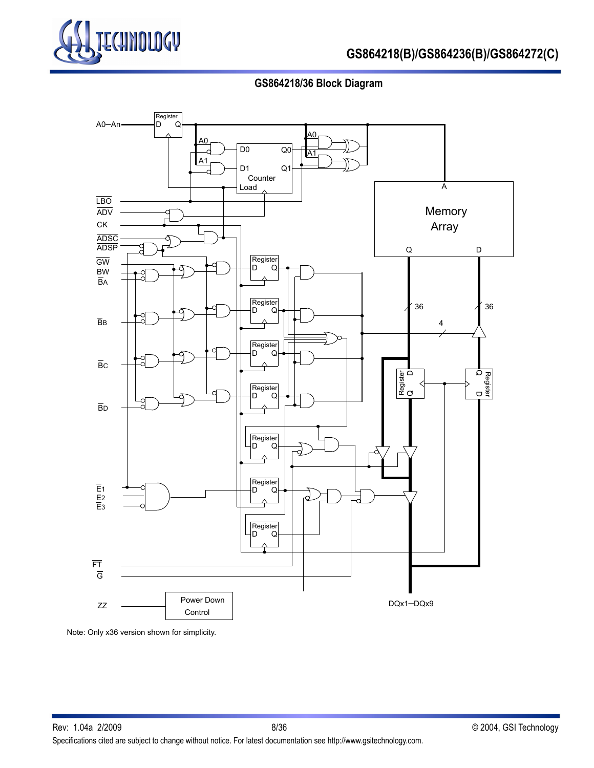

# **GS864218/36 Block Diagram**



Note: Only x36 version shown for simplicity.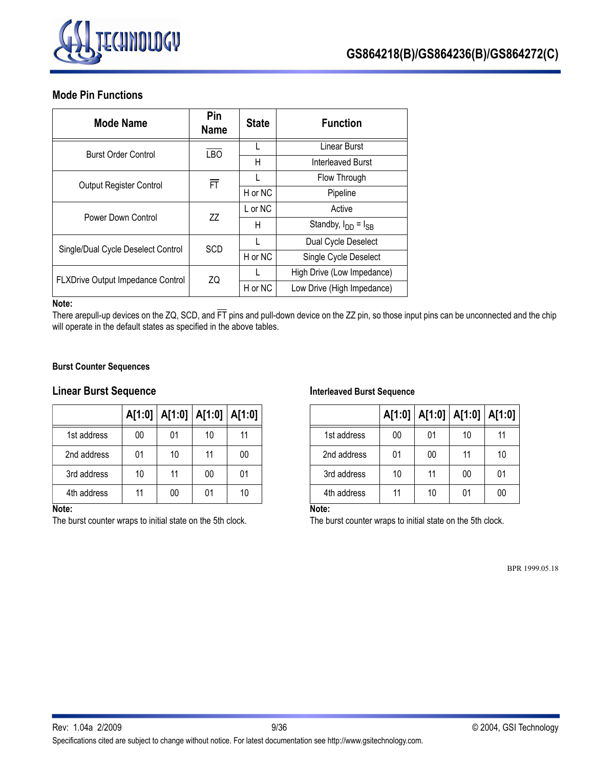

### **Mode Pin Functions**

| <b>Mode Name</b>                   | Pin<br><b>Name</b>                                                                            | <b>State</b>                             | <b>Function</b>            |  |  |
|------------------------------------|-----------------------------------------------------------------------------------------------|------------------------------------------|----------------------------|--|--|
| <b>Burst Order Control</b>         |                                                                                               |                                          | Linear Burst               |  |  |
|                                    |                                                                                               | Н                                        | Interleaved Burst          |  |  |
| <b>Output Register Control</b>     |                                                                                               |                                          | Flow Through               |  |  |
|                                    |                                                                                               | H or NC<br>Pipeline<br>L or NC<br>Active |                            |  |  |
| Power Down Control                 |                                                                                               |                                          |                            |  |  |
|                                    |                                                                                               | Standby, $I_{DD} = I_{SB}$               |                            |  |  |
| Single/Dual Cycle Deselect Control |                                                                                               |                                          | Dual Cycle Deselect        |  |  |
|                                    | <b>LBO</b><br>亓<br>77<br>Н<br><b>SCD</b><br>H or NC<br>Single Cycle Deselect<br>ZQ<br>H or NC |                                          |                            |  |  |
| FLXDrive Output Impedance Control  |                                                                                               |                                          | High Drive (Low Impedance) |  |  |
|                                    |                                                                                               |                                          | Low Drive (High Impedance) |  |  |

### **Note:**

There arepull-up devices on the ZQ, SCD, and  $\overline{\text{FT}}$  pins and pull-down device on the ZZ pin, so those input pins can be unconnected and the chip will operate in the default states as specified in the above tables.

### **Burst Counter Sequences**

### **Linear Burst Sequence**

|                  |    | A[1:0]   A[1:0]   A[1:0] |    | A[1:0] |
|------------------|----|--------------------------|----|--------|
| 1st address      | 00 | 01                       | 10 | 11     |
| 2nd address      | 01 | 10                       | 11 | 00     |
| 3rd address      | 10 | 11                       | 00 | 01     |
| 4th address<br>. | 11 | 00                       | 01 | 10     |

#### **Note:**

The burst counter wraps to initial state on the 5th clock.

#### **Interleaved Burst Sequence**

|             |    | A[1:0]   A[1:0]   A[1:0]   A[1:0] |    |    |
|-------------|----|-----------------------------------|----|----|
| 1st address | 00 | 01                                | 10 | 11 |
| 2nd address | 01 | 00                                | 11 | 10 |
| 3rd address | 10 | 11                                | 00 | 01 |
| 4th address | 11 | 10                                | 01 | 00 |

**Note:** 

The burst counter wraps to initial state on the 5th clock.

BPR 1999.05.18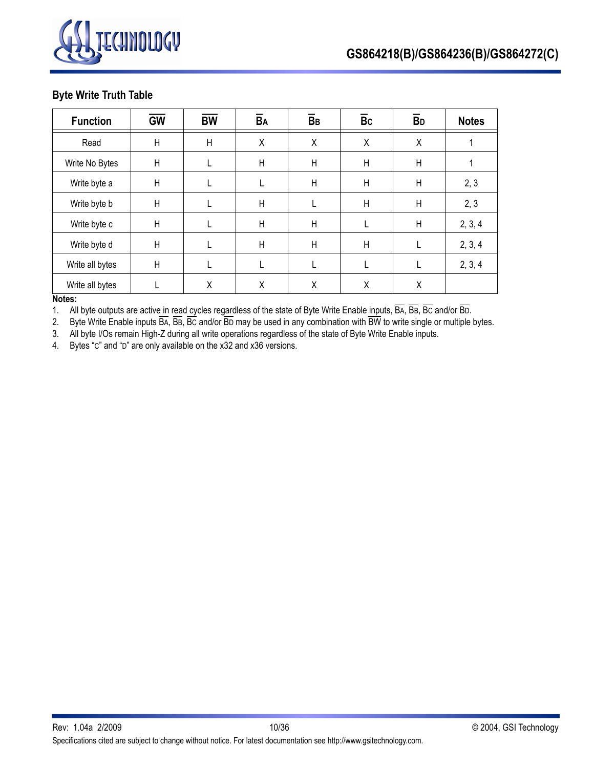

### **Byte Write Truth Table**

| <b>Function</b> | <b>GW</b>    | <b>BW</b>    | BA | BB | $\overline{B}c$ | <b>B</b> <sub>D</sub> | <b>Notes</b> |
|-----------------|--------------|--------------|----|----|-----------------|-----------------------|--------------|
| Read            | $\mathsf{H}$ | $\mathsf{H}$ | X  | X  | X               | Χ                     |              |
| Write No Bytes  | $\mathsf{H}$ |              | Η  | H  | $\mathsf{H}$    | H                     |              |
| Write byte a    | H            |              |    | H  | $\mathsf{H}$    | H                     | 2, 3         |
| Write byte b    | H            |              | Η  |    | $\mathsf{H}$    | H                     | 2, 3         |
| Write byte c    | H            |              | Н  | H  | L               | H                     | 2, 3, 4      |
| Write byte d    | H            |              | Н  | H  | $\mathsf{H}$    |                       | 2, 3, 4      |
| Write all bytes | $\mathsf{H}$ |              |    |    | L               |                       | 2, 3, 4      |
| Write all bytes |              | X            | Χ  | Χ  | X               | Χ                     |              |

#### **Notes:**

1. All byte outputs are active in read cycles regardless of the state of Byte Write Enable inputs, BA, BB, BC and/or BD.

2. Byte Write Enable inputs BA, BB, BC and/or BD may be used in any combination with BW to write single or multiple bytes.

3. All byte I/Os remain High-Z during all write operations regardless of the state of Byte Write Enable inputs.

4. Bytes "C" and "D" are only available on the x32 and x36 versions.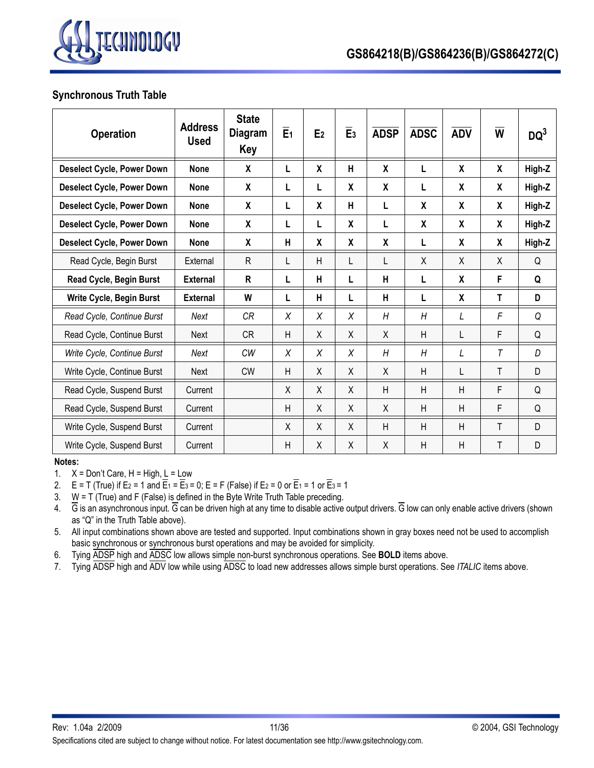

### **Synchronous Truth Table**

| <b>Operation</b>                  | <b>Address</b><br><b>Used</b> | <b>State</b><br>Diagram<br>Key | E <sub>1</sub> | E <sub>2</sub>   | E <sub>3</sub>     | <b>ADSP</b>      | <b>ADSC</b> | <b>ADV</b> | W | $DQ^3$ |
|-----------------------------------|-------------------------------|--------------------------------|----------------|------------------|--------------------|------------------|-------------|------------|---|--------|
| <b>Deselect Cycle, Power Down</b> | <b>None</b>                   | X                              | $\mathsf{L}$   | $\mathsf{X}$     | H                  | $\boldsymbol{x}$ | L           | X          | X | High-Z |
| <b>Deselect Cycle, Power Down</b> | <b>None</b>                   | X                              | L              | L                | $\boldsymbol{X}$   | $\mathbf{x}$     | L           | X          | X | High-Z |
| <b>Deselect Cycle, Power Down</b> | <b>None</b>                   | X                              | L              | $\boldsymbol{X}$ | H                  | L                | X           | X          | X | High-Z |
| <b>Deselect Cycle, Power Down</b> | <b>None</b>                   | χ                              | L              | L                | $\pmb{\mathsf{X}}$ | L                | χ           | X          | χ | High-Z |
| <b>Deselect Cycle, Power Down</b> | <b>None</b>                   | X                              | H              | X                | $\boldsymbol{X}$   | $\boldsymbol{x}$ | L           | X          | X | High-Z |
| Read Cycle, Begin Burst           | External                      | R                              | $\mathsf{L}$   | H                | L                  | L                | X           | $\times$   | X | Q      |
| Read Cycle, Begin Burst           | <b>External</b>               | R                              | L              | н                | L                  | H                | L           | X          | F | Q      |
| Write Cycle, Begin Burst          | External                      | W                              | L              | н                | L                  | H                | L           | X          | т | D      |
| Read Cycle, Continue Burst        | Next                          | <b>CR</b>                      | X              | X                | X                  | H                | H           | L          | F | Q      |
| Read Cycle, Continue Burst        | <b>Next</b>                   | <b>CR</b>                      | H              | X                | X                  | X                | H           | L          | F | Q      |
| Write Cycle, Continue Burst       | Next                          | <b>CW</b>                      | X              | X                | X                  | H                | H           | L          | T | D      |
| Write Cycle, Continue Burst       | <b>Next</b>                   | <b>CW</b>                      | H              | Χ                | X                  | X                | Η           | L          | Τ | D      |
| Read Cycle, Suspend Burst         | Current                       |                                | X              | X                | Χ                  | $\overline{H}$   | Η           | H          | F | Q      |
| Read Cycle, Suspend Burst         | Current                       |                                | H              | X                | X                  | $\sf X$          | H           | H          | F | Q      |
| Write Cycle, Suspend Burst        | Current                       |                                | X              | X                | Χ                  | H                | H           | H          | Τ | D      |
| Write Cycle, Suspend Burst        | Current                       |                                | H              | Χ                | X                  | X                | Η           | H          | Τ | D      |

**Notes:**

1.  $X = Don't Care, H = High, L = Low$ 

2.  $E = T$  (True) if E<sub>2</sub> = 1 and  $\overline{E}_1 = \overline{E}_3 = 0$ ; E = F (False) if E<sub>2</sub> = 0 or  $\overline{E}_1 = 1$  or  $\overline{E}_3 = 1$ 

3. W = T (True) and F (False) is defined in the Byte Write Truth Table preceding.

4.  $\overline{G}$  is an asynchronous input.  $\overline{G}$  can be driven high at any time to disable active output drivers.  $\overline{G}$  low can only enable active drivers (shown as "Q" in the Truth Table above).

5. All input combinations shown above are tested and supported. Input combinations shown in gray boxes need not be used to accomplish basic synchronous or synchronous burst operations and may be avoided for simplicity.

6. Tying ADSP high and ADSC low allows simple non-burst synchronous operations. See **BOLD** items above.

7. Tying ADSP high and ADV low while using ADSC to load new addresses allows simple burst operations. See *ITALIC* items above.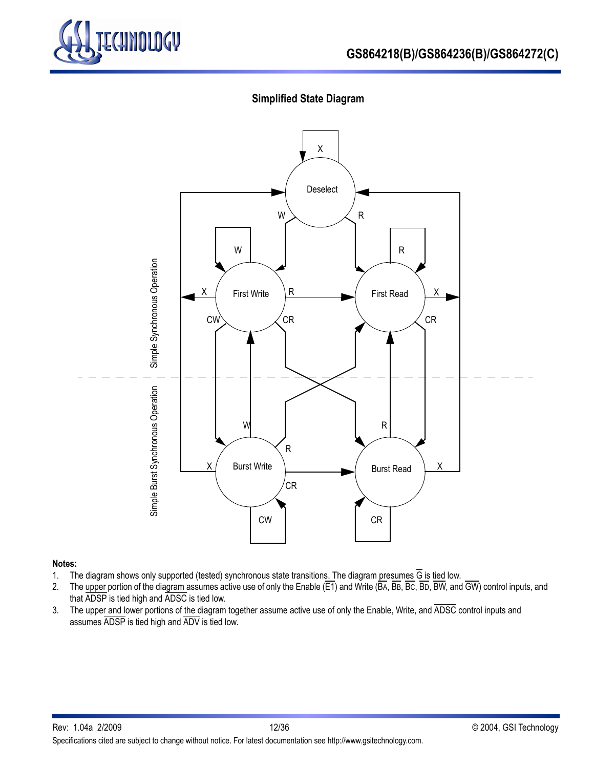

# **Simplified State Diagram**



### **Notes:**

- 1. The diagram shows only supported (tested) synchronous state transitions. The diagram presumes G is tied low.
- 2. The upper portion of the diagram assumes active use of only the Enable (E1) and Write (BA, BB, BC, BD, BW, and GW) control inputs, and that ADSP is tied high and ADSC is tied low.
- 3. The upper and lower portions of the diagram together assume active use of only the Enable, Write, and ADSC control inputs and assumes ADSP is tied high and ADV is tied low.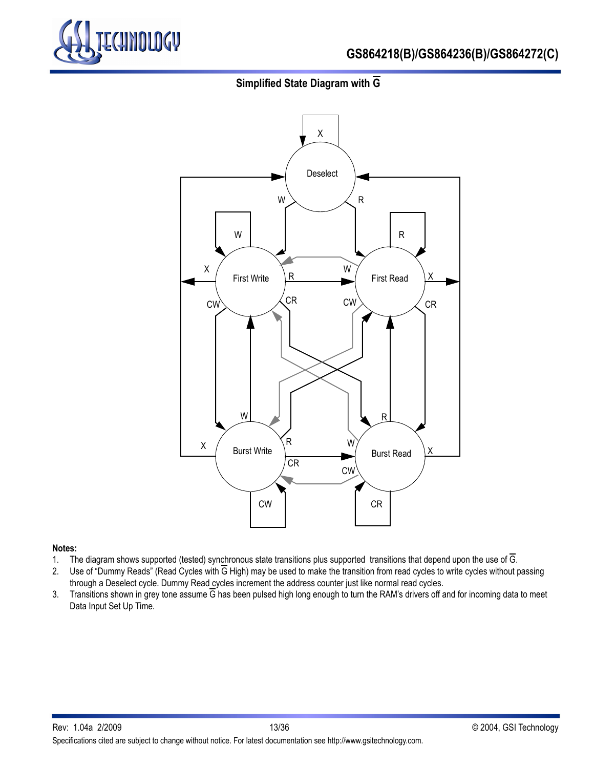

# **Simplified State Diagram with G**



#### **Notes:**

- 1. The diagram shows supported (tested) synchronous state transitions plus supported transitions that depend upon the use of  $\overline{G}$ .
- 2. Use of "Dummy Reads" (Read Cycles with G High) may be used to make the transition from read cycles to write cycles without passing through a Deselect cycle. Dummy Read cycles increment the address counter just like normal read cycles.
- 3. Transitions shown in grey tone assume  $\overline{G}$  has been pulsed high long enough to turn the RAM's drivers off and for incoming data to meet Data Input Set Up Time.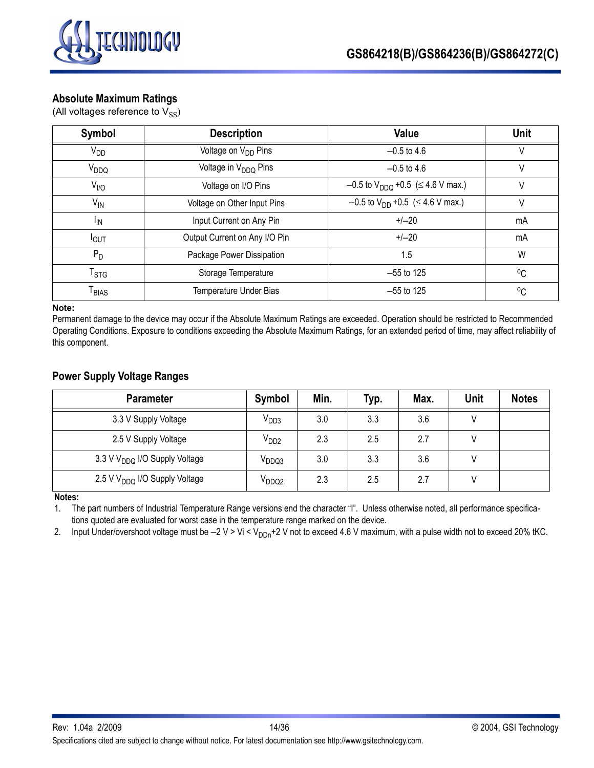

### **Absolute Maximum Ratings**

(All voltages reference to  $V_{SS}$ )

| Symbol                       | <b>Description</b>               | Value                                                | Unit         |
|------------------------------|----------------------------------|------------------------------------------------------|--------------|
| <b>V<sub>DD</sub></b>        | Voltage on V <sub>DD</sub> Pins  | $-0.5$ to 4.6                                        |              |
| V <sub>DDQ</sub>             | Voltage in V <sub>DDQ</sub> Pins | $-0.5$ to 4.6                                        | V            |
| $V_{I/O}$                    | Voltage on I/O Pins              | $-0.5$ to V <sub>DDQ</sub> +0.5 ( $\leq$ 4.6 V max.) | V            |
| $V_{IN}$                     | Voltage on Other Input Pins      | $-0.5$ to V <sub>DD</sub> +0.5 ( $\leq$ 4.6 V max.)  | V            |
| <sup>I</sup> IN              | Input Current on Any Pin         | $+/-20$                                              | mA           |
| $I_{OUT}$                    | Output Current on Any I/O Pin    | $+/-20$                                              | mA           |
| $P_D$                        | Package Power Dissipation        | 1.5                                                  | W            |
| $\mathsf{T}_{\text{STG}}$    | Storage Temperature              | $-55$ to 125                                         | $^{\circ}$ C |
| $\mathsf{T}_{\mathsf{BIAS}}$ | Temperature Under Bias           | $-55$ to 125                                         | $^{\circ}$ C |

#### **Note:**

Permanent damage to the device may occur if the Absolute Maximum Ratings are exceeded. Operation should be restricted to Recommended Operating Conditions. Exposure to conditions exceeding the Absolute Maximum Ratings, for an extended period of time, may affect reliability of this component.

### **Power Supply Voltage Ranges**

| <b>Parameter</b>                          | Symbol            | Min. | Typ. | Max. | <b>Unit</b> | <b>Notes</b> |
|-------------------------------------------|-------------------|------|------|------|-------------|--------------|
| 3.3 V Supply Voltage                      | V <sub>DD3</sub>  | 3.0  | 3.3  | 3.6  |             |              |
| 2.5 V Supply Voltage                      | V <sub>DD2</sub>  | 2.3  | 2.5  | 2.7  |             |              |
| 3.3 V V <sub>DDQ</sub> I/O Supply Voltage | V <sub>DDQ3</sub> | 3.0  | 3.3  | 3.6  |             |              |
| 2.5 V V <sub>DDQ</sub> I/O Supply Voltage | V <sub>DDQ2</sub> | 2.3  | 2.5  | 2.7  |             |              |

**Notes:**

1. The part numbers of Industrial Temperature Range versions end the character "I". Unless otherwise noted, all performance specifications quoted are evaluated for worst case in the temperature range marked on the device.

2. Input Under/overshoot voltage must be  $-2$  V > Vi < V<sub>DDn</sub>+2 V not to exceed 4.6 V maximum, with a pulse width not to exceed 20% tKC.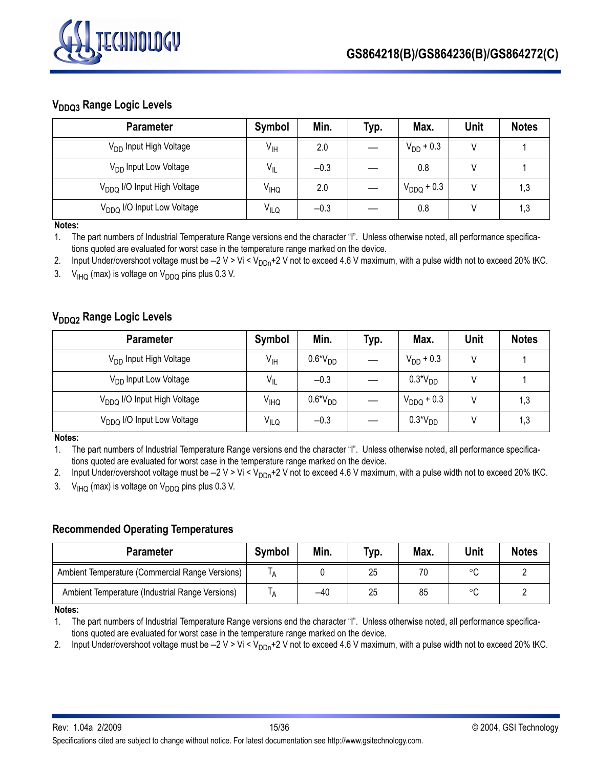

# **V<sub>DDQ3</sub> Range Logic Levels**

| <b>Parameter</b>                        | Symbol           | Min.   | Typ. | Max.            | <b>Unit</b> | <b>Notes</b> |
|-----------------------------------------|------------------|--------|------|-----------------|-------------|--------------|
| V <sub>DD</sub> Input High Voltage      | $V_{\text{IH}}$  | 2.0    |      | $V_{DD}$ + 0.3  |             |              |
| V <sub>DD</sub> Input Low Voltage       | $V_{\parallel}$  | $-0.3$ |      | 0.8             |             |              |
| V <sub>DDQ</sub> I/O Input High Voltage | V <sub>IHQ</sub> | 2.0    |      | $V_{DDQ}$ + 0.3 |             | 1,3          |
| V <sub>DDQ</sub> I/O Input Low Voltage  | V <sub>ILQ</sub> | $-0.3$ |      | 0.8             |             | 1,3          |

**Notes:**

1. The part numbers of Industrial Temperature Range versions end the character "I". Unless otherwise noted, all performance specifications quoted are evaluated for worst case in the temperature range marked on the device.

2. Input Under/overshoot voltage must be  $-2$  V > Vi < V<sub>DDn</sub>+2 V not to exceed 4.6 V maximum, with a pulse width not to exceed 20% tKC.

3.  $V_{IHO}$  (max) is voltage on  $V_{DDO}$  pins plus 0.3 V.

# **V<sub>DDQ2</sub>** Range Logic Levels

| <b>Parameter</b>                        | Symbol                 | Min.      | Typ. | Max.            | Unit | <b>Notes</b> |
|-----------------------------------------|------------------------|-----------|------|-----------------|------|--------------|
| V <sub>DD</sub> Input High Voltage      | $V_{\text{IH}}$        | $0.6*VDD$ |      | $V_{DD}$ + 0.3  |      |              |
| V <sub>DD</sub> Input Low Voltage       | $V_{IL}$               | $-0.3$    |      | $0.3*VDD$       |      |              |
| V <sub>DDQ</sub> I/O Input High Voltage | <b>V<sub>IHQ</sub></b> | $0.6*VDD$ |      | $V_{DDQ}$ + 0.3 |      | 1,3          |
| V <sub>DDQ</sub> I/O Input Low Voltage  | $V_{I L Q}$            | $-0.3$    |      | $0.3*VDD$       |      | 1,3          |

**Notes:**

1. The part numbers of Industrial Temperature Range versions end the character "I". Unless otherwise noted, all performance specifications quoted are evaluated for worst case in the temperature range marked on the device.

2. Input Under/overshoot voltage must be  $-2$  V > Vi < V<sub>DDn</sub>+2 V not to exceed 4.6 V maximum, with a pulse width not to exceed 20% tKC. 3.  $V_{IHO}$  (max) is voltage on  $V_{DDO}$  pins plus 0.3 V.

# **Recommended Operating Temperatures**

| <b>Parameter</b>                                | <b>Symbol</b> | Min. | Typ. | Max. | <b>Unit</b> | <b>Notes</b> |
|-------------------------------------------------|---------------|------|------|------|-------------|--------------|
| Ambient Temperature (Commercial Range Versions) | A             |      | 25   | 70   | $\circ$     |              |
| Ambient Temperature (Industrial Range Versions) |               | -40  | 25   | 85   | ം           |              |

**Notes:**

1. The part numbers of Industrial Temperature Range versions end the character "I". Unless otherwise noted, all performance specifications quoted are evaluated for worst case in the temperature range marked on the device.

2. Input Under/overshoot voltage must be  $-2$  V > Vi < V<sub>DDn</sub>+2 V not to exceed 4.6 V maximum, with a pulse width not to exceed 20% tKC.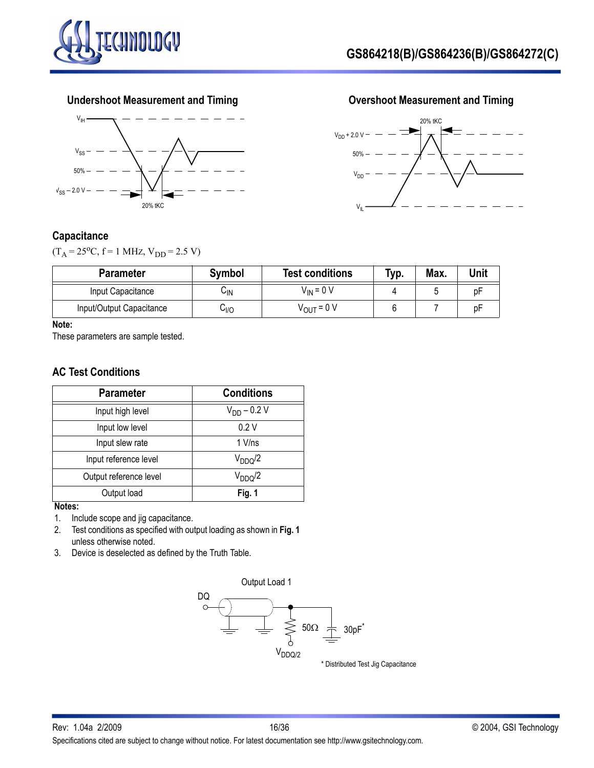







### **Capacitance**

 $(T_A = 25^{\circ}C, f = 1 \text{ MHz}, V_{DD} = 2.5 \text{ V})$ 

| <b>Parameter</b>         | <b>Symbol</b> | <b>Test conditions</b> | Typ. | Max. | Unit |
|--------------------------|---------------|------------------------|------|------|------|
| Input Capacitance        | ∪lN           | $V_{IN}$ = 0 V         |      |      |      |
| Input/Output Capacitance | 0∥י           | V <sub>OUT</sub> = 0 V |      |      | D⊢   |

### **Note:**

These parameters are sample tested.

### **AC Test Conditions**

| <b>Parameter</b>       | <b>Conditions</b>   |
|------------------------|---------------------|
| Input high level       | $V_{DD} - 0.2 V$    |
| Input low level        | 0.2V                |
| Input slew rate        | $1$ V/ns            |
| Input reference level  | V <sub>DDQ</sub> /2 |
| Output reference level | $V_{DDQ}/2$         |
| Output load            | Fig. 1              |

### **Notes:**

1. Include scope and jig capacitance.

- 2. Test conditions as specified with output loading as shown in **Fig. 1** unless otherwise noted.
- 3. Device is deselected as defined by the Truth Table.



\* Distributed Test Jig Capacitance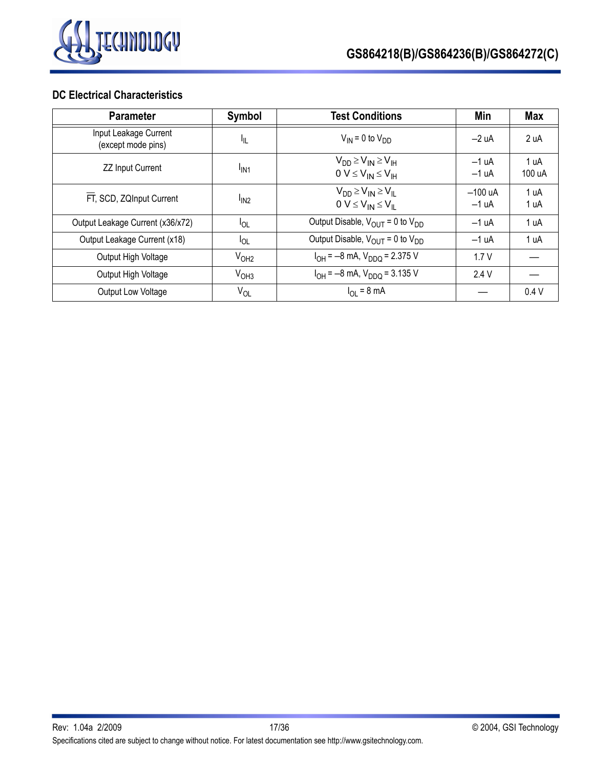

# **DC Electrical Characteristics**

| <b>Parameter</b>                            | Symbol                       | <b>Test Conditions</b>                                            | Min                  | Max            |
|---------------------------------------------|------------------------------|-------------------------------------------------------------------|----------------------|----------------|
| Input Leakage Current<br>(except mode pins) | ŀμ                           | $V_{IN}$ = 0 to $V_{DD}$                                          | $-2 uA$              | 2 uA           |
| <b>ZZ Input Current</b>                     | <sup>I</sup> IN <sub>1</sub> | $V_{DD} \geq V_{IN} \geq V_{IH}$<br>$0 V \leq V_{IN} \leq V_{IH}$ | $-1 uA$<br>$-1 uA$   | 1 uA<br>100 uA |
| FT, SCD, ZQInput Current                    | I <sub>IN2</sub>             | $V_{DD} \geq V_{IN} \geq V_{II}$<br>$0 V \leq V_{IN} \leq V_{IL}$ | $-100$ uA<br>$-1 uA$ | 1 uA<br>1 uA   |
| Output Leakage Current (x36/x72)            | $I_{OL}$                     | Output Disable, $V_{OUT} = 0$ to $V_{DD}$                         | $-1 uA$              | 1 uA           |
| Output Leakage Current (x18)                | $I_{OL}$                     | Output Disable, $V_{\text{OUT}} = 0$ to $V_{\text{DD}}$           | $-1 uA$              | 1 uA           |
| Output High Voltage                         | V <sub>OH2</sub>             | $I_{OH} = -8$ mA, $V_{DDQ} = 2.375$ V                             | 1.7V                 |                |
| Output High Voltage                         | V <sub>OH3</sub>             | $I_{OH} = -8$ mA, $V_{DDQ} = 3.135$ V                             | 2.4V                 |                |
| Output Low Voltage                          | $V_{OL}$                     | $I_{\text{OI}} = 8 \text{ mA}$                                    |                      | 0.4V           |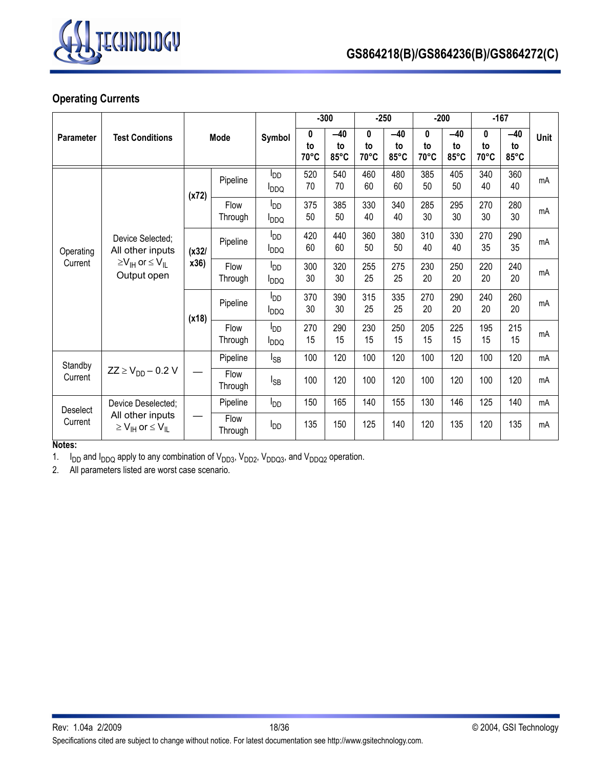

# **Operating Currents**

|                  |                                                                                                         |       |                 |                                                   | $-300$          |                     | $-250$          |                     |                 | $-200$              | $-167$          |                               |             |
|------------------|---------------------------------------------------------------------------------------------------------|-------|-----------------|---------------------------------------------------|-----------------|---------------------|-----------------|---------------------|-----------------|---------------------|-----------------|-------------------------------|-------------|
| <b>Parameter</b> | <b>Test Conditions</b>                                                                                  |       | <b>Mode</b>     | Symbol                                            | 0<br>to<br>70°C | $-40$<br>to<br>85°C | 0<br>to<br>70°C | $-40$<br>to<br>85°C | 0<br>to<br>70°C | $-40$<br>to<br>85°C | 0<br>to<br>70°C | $-40$<br>to<br>$85^{\circ}$ C | <b>Unit</b> |
|                  |                                                                                                         | (x72) | Pipeline        | <b>I</b> <sub>DD</sub><br><b>PDDQ</b>             | 520<br>70       | 540<br>70           | 460<br>60       | 480<br>60           | 385<br>50       | 405<br>50           | 340<br>40       | 360<br>40                     | mA          |
| Operating        |                                                                                                         |       | Flow<br>Through | ססי<br><b>I</b> <sub>DDQ</sub>                    | 375<br>50       | 385<br>50           | 330<br>40       | 340<br>40           | 285<br>30       | 295<br>30           | 270<br>30       | 280<br>30                     | mA          |
|                  | Device Selected;<br>All other inputs<br>$\geq$ V <sub>IH</sub> or $\leq$ V <sub>IL</sub><br>Output open | (x32) | Pipeline        | ססי<br><b>PDDQ</b>                                | 420<br>60       | 440<br>60           | 360<br>50       | 380<br>50           | 310<br>40       | 330<br>40           | 270<br>35       | 290<br>35                     | mA          |
| Current          |                                                                                                         | x36)  | Flow<br>Through | l <sub>DD</sub><br><b>I</b> <sub>DDQ</sub>        | 300<br>30       | 320<br>30           | 255<br>25       | 275<br>25           | 230<br>20       | 250<br>20           | 220<br>20       | 240<br>20                     | mA          |
|                  |                                                                                                         | (x18) | Pipeline        | <b>I</b> <sub>DD</sub><br><b>I</b> <sub>DDQ</sub> | 370<br>30       | 390<br>30           | 315<br>25       | 335<br>25           | 270<br>20       | 290<br>20           | 240<br>20       | 260<br>20                     | mA          |
|                  |                                                                                                         |       | Flow<br>Through | $I_{DD}$<br><b>I</b> <sub>DDQ</sub>               | 270<br>15       | 290<br>15           | 230<br>15       | 250<br>15           | 205<br>15       | 225<br>15           | 195<br>15       | 215<br>15                     | mA          |
| Standby          |                                                                                                         |       | Pipeline        | l <sub>SB</sub>                                   | 100             | 120                 | 100             | 120                 | 100             | 120                 | 100             | 120                           | mA          |
| Current          | $ZZ \ge V_{DD} - 0.2 V$                                                                                 |       | Flow<br>Through | l <sub>SB</sub>                                   | 100             | 120                 | 100             | 120                 | 100             | 120                 | 100             | 120                           | mA          |
| Deselect         | Device Deselected;                                                                                      |       | Pipeline        | <b>I</b> <sub>DD</sub>                            | 150             | 165                 | 140             | 155                 | 130             | 146                 | 125             | 140                           | mA          |
| Current          | All other inputs<br>$\geq$ V <sub>IH</sub> or $\leq$ V <sub>IL</sub>                                    |       | Flow<br>Through | <b>I</b> <sub>DD</sub>                            | 135             | 150                 | 125             | 140                 | 120             | 135                 | 120             | 135                           | mA          |

### **Notes:**

1.  $I_{DD}$  and  $I_{DDQ}$  apply to any combination of  $V_{DD3}$ ,  $V_{DD2}$ ,  $V_{DDQ3}$ , and  $V_{DDQ2}$  operation.

2. All parameters listed are worst case scenario.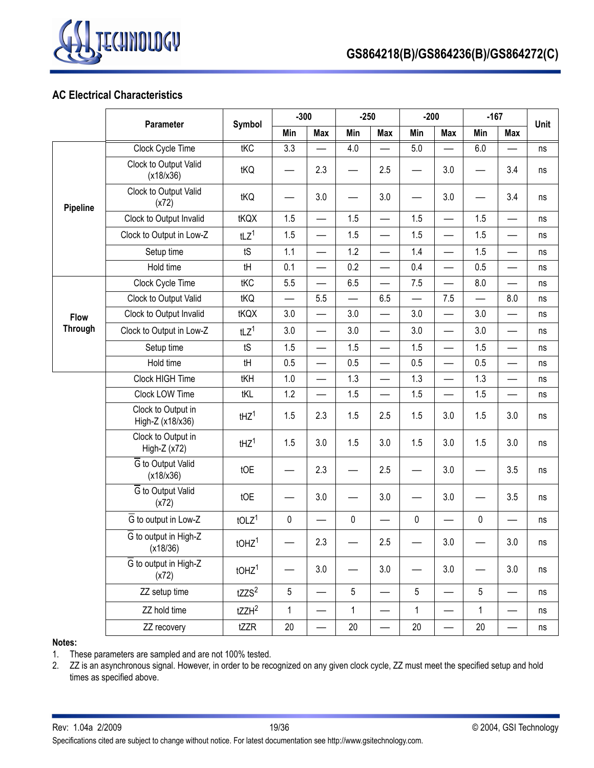

### **AC Electrical Characteristics**

|                 | Parameter                                      | Symbol              | $-300$    |                          | $-250$                   |                          | $-200$                   |                          | $-167$    | Unit                     |    |
|-----------------|------------------------------------------------|---------------------|-----------|--------------------------|--------------------------|--------------------------|--------------------------|--------------------------|-----------|--------------------------|----|
|                 |                                                |                     | Min       | Max                      | Min                      | <b>Max</b>               | Min                      | <b>Max</b>               | Min       | <b>Max</b>               |    |
|                 | Clock Cycle Time                               | tKC                 | 3.3       |                          | 4.0                      |                          | 5.0                      |                          | 6.0       |                          | ns |
|                 | Clock to Output Valid<br>(x18/x36)             | tKQ                 |           | 2.3                      | —                        | 2.5                      | $\overline{\phantom{0}}$ | 3.0                      |           | 3.4                      | ns |
| <b>Pipeline</b> | Clock to Output Valid<br>(x72)                 | tKQ                 |           | 3.0                      |                          | 3.0                      |                          | 3.0                      |           | 3.4                      | ns |
|                 | Clock to Output Invalid                        | tKQX                | 1.5       |                          | 1.5                      | $\overline{\phantom{0}}$ | 1.5                      | —                        | 1.5       |                          | ns |
|                 | Clock to Output in Low-Z                       | tLZ <sup>1</sup>    | 1.5       | $\overline{\phantom{0}}$ | 1.5                      | $\overline{\phantom{0}}$ | 1.5                      | $\overline{\phantom{0}}$ | 1.5       | —                        | ns |
|                 | Setup time                                     | tS                  | 1.1       |                          | 1.2                      |                          | 1.4                      |                          | 1.5       |                          | ns |
|                 | Hold time                                      | tH                  | 0.1       | $\overline{\phantom{0}}$ | 0.2                      |                          | 0.4                      |                          | 0.5       | —                        | ns |
|                 | Clock Cycle Time                               | tKC                 | 5.5       | $\overline{\phantom{0}}$ | 6.5                      |                          | 7.5                      | $\overline{\phantom{0}}$ | 8.0       | —                        | ns |
|                 | Clock to Output Valid                          | tKQ                 |           | 5.5                      | $\overline{\phantom{0}}$ | 6.5                      |                          | 7.5                      |           | 8.0                      | ns |
| <b>Flow</b>     | Clock to Output Invalid                        | tKQX                | 3.0       | $\overline{\phantom{0}}$ | 3.0                      | $\overline{\phantom{0}}$ | 3.0                      | $\equiv$                 | 3.0       | $\overline{\phantom{0}}$ | ns |
| <b>Through</b>  | Clock to Output in Low-Z                       | tLZ <sup>1</sup>    | 3.0       | $\overline{\phantom{0}}$ | 3.0                      |                          | 3.0                      |                          | 3.0       | $\overline{\phantom{0}}$ | ns |
|                 | Setup time                                     | tS                  | 1.5       |                          | 1.5                      |                          | 1.5                      | $\overline{\phantom{0}}$ | 1.5       | —                        | ns |
|                 | Hold time                                      | tH                  | 0.5       | $\overline{\phantom{0}}$ | 0.5                      | $\overline{\phantom{0}}$ | 0.5                      |                          | 0.5       | —                        | ns |
|                 | Clock HIGH Time                                | tKH                 | 1.0       | $\overline{\phantom{0}}$ | 1.3                      |                          | 1.3                      |                          | 1.3       | —                        | ns |
|                 | Clock LOW Time                                 | tKL                 | 1.2       |                          | 1.5                      |                          | 1.5                      | $\overline{\phantom{0}}$ | 1.5       |                          | ns |
|                 | Clock to Output in<br>High-Z (x18/x36)         | $t$ HZ <sup>1</sup> | 1.5       | 2.3                      | 1.5                      | 2.5                      | 1.5                      | 3.0                      | 1.5       | 3.0                      | ns |
|                 | Clock to Output in<br>High-Z (x72)             | $t$ HZ <sup>1</sup> | 1.5       | 3.0                      | 1.5                      | 3.0                      | 1.5                      | 3.0                      | 1.5       | 3.0                      | ns |
|                 | G to Output Valid<br>(x18/x36)                 | tOE                 |           | 2.3                      | $\overline{\phantom{0}}$ | 2.5                      | $\overline{\phantom{0}}$ | 3.0                      |           | 3.5                      | ns |
|                 | G to Output Valid<br>(x72)                     | tOE                 |           | 3.0                      |                          | 3.0                      |                          | 3.0                      |           | 3.5                      | ns |
|                 | $\overline{G}$ to output in Low-Z              | tOLZ <sup>1</sup>   | $\pmb{0}$ |                          | $\pmb{0}$                |                          | $\pmb{0}$                |                          | $\pmb{0}$ |                          | ns |
|                 | $\overline{G}$ to output in High-Z<br>(x18/36) | tOHZ <sup>1</sup>   |           | 2.3                      |                          | 2.5                      |                          | $3.0\,$                  |           | 3.0                      | ns |
|                 | $\overline{G}$ to output in High-Z<br>(x72)    | tOHZ <sup>1</sup>   |           | 3.0                      |                          | 3.0                      |                          | 3.0                      |           | 3.0                      | ns |
|                 | ZZ setup time                                  | tZZS <sup>2</sup>   | 5         | —                        | 5                        |                          | 5                        |                          | 5         |                          | ns |
|                 | ZZ hold time                                   | $tZZH^2$            | 1         |                          | 1                        |                          | $\mathbf{1}$             |                          | 1         |                          | ns |
|                 | ZZ recovery                                    | tZZR                | $20\,$    |                          | 20                       |                          | 20                       | $\overline{\phantom{0}}$ | 20        |                          | ns |

#### **Notes:**

1. These parameters are sampled and are not 100% tested.

2. ZZ is an asynchronous signal. However, in order to be recognized on any given clock cycle, ZZ must meet the specified setup and hold times as specified above.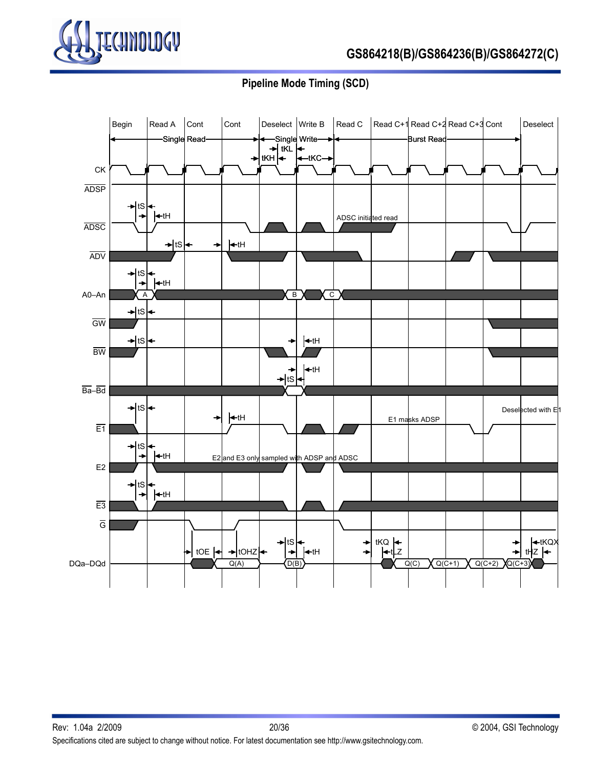

# **GS864218(B)/GS864236(B)/GS864272(C)**

# **Pipeline Mode Timing (SCD)**

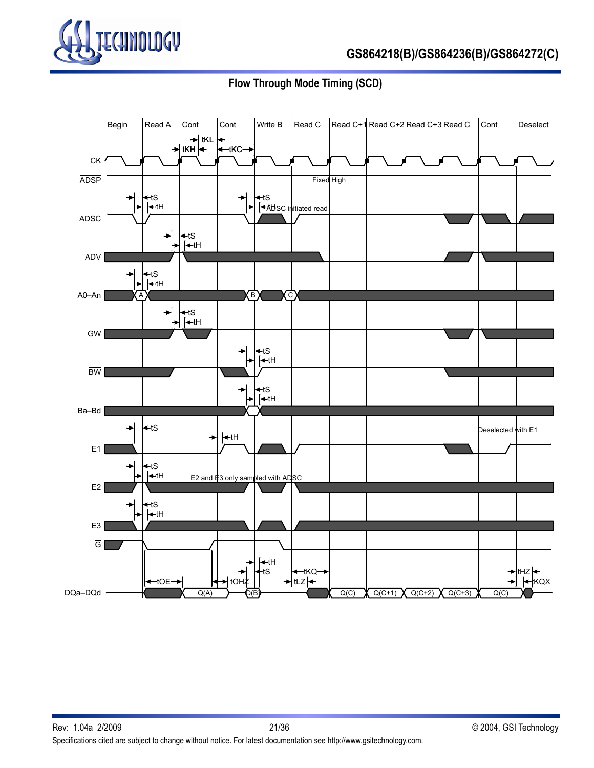

**Flow Through Mode Timing (SCD)**

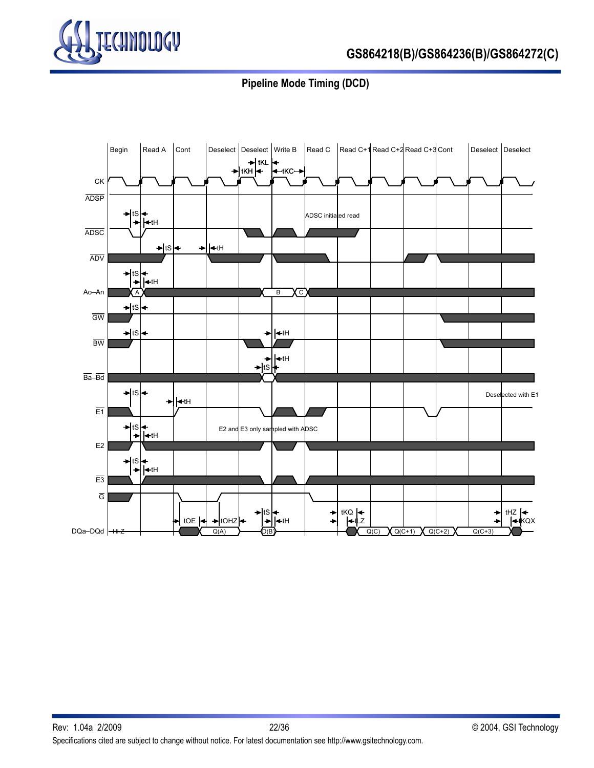

# **Pipeline Mode Timing (DCD)**

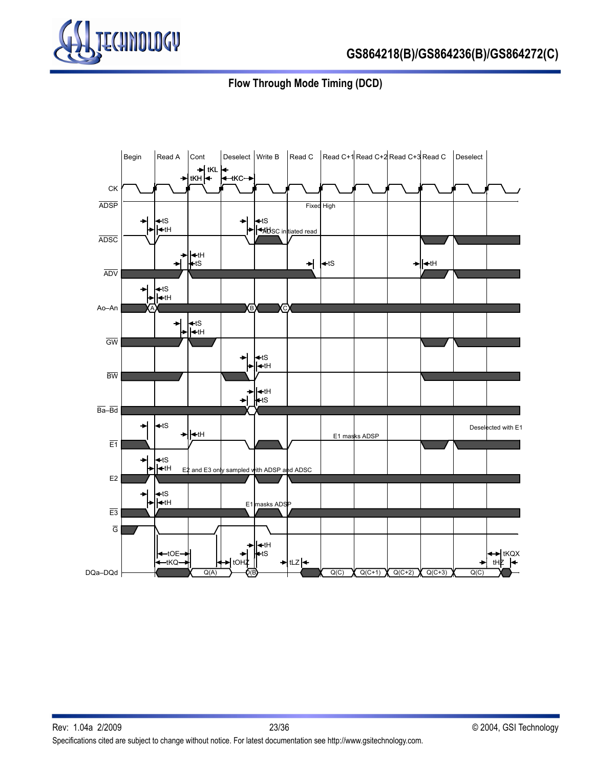

**Flow Through Mode Timing (DCD)**

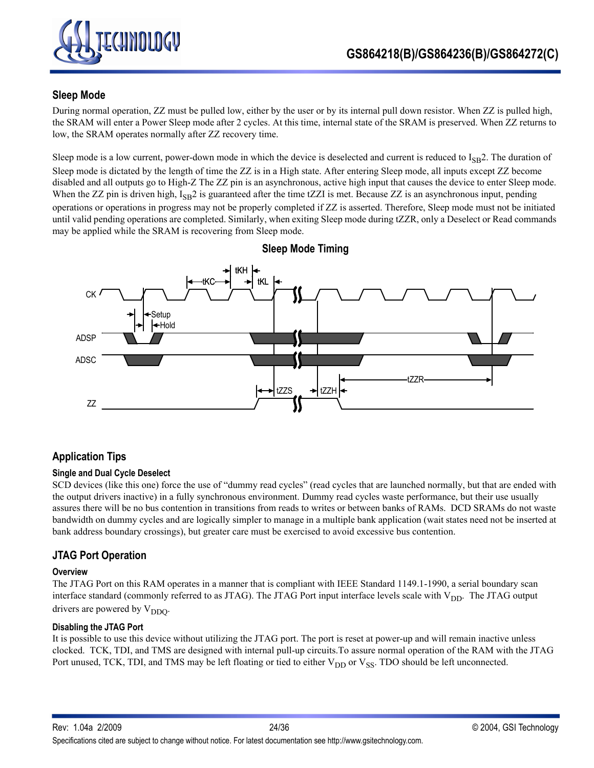

### **Sleep Mode**

During normal operation, ZZ must be pulled low, either by the user or by its internal pull down resistor. When ZZ is pulled high, the SRAM will enter a Power Sleep mode after 2 cycles. At this time, internal state of the SRAM is preserved. When ZZ returns to low, the SRAM operates normally after ZZ recovery time.

Sleep mode is a low current, power-down mode in which the device is deselected and current is reduced to  $I_{SB}2$ . The duration of Sleep mode is dictated by the length of time the ZZ is in a High state. After entering Sleep mode, all inputs except ZZ become disabled and all outputs go to High-Z The ZZ pin is an asynchronous, active high input that causes the device to enter Sleep mode. When the ZZ pin is driven high, I<sub>SB</sub>2 is guaranteed after the time tZZI is met. Because ZZ is an asynchronous input, pending operations or operations in progress may not be properly completed if ZZ is asserted. Therefore, Sleep mode must not be initiated until valid pending operations are completed. Similarly, when exiting Sleep mode during tZZR, only a Deselect or Read commands may be applied while the SRAM is recovering from Sleep mode.



**Sleep Mode Timing**

# **Application Tips**

### **Single and Dual Cycle Deselect**

SCD devices (like this one) force the use of "dummy read cycles" (read cycles that are launched normally, but that are ended with the output drivers inactive) in a fully synchronous environment. Dummy read cycles waste performance, but their use usually assures there will be no bus contention in transitions from reads to writes or between banks of RAMs. DCD SRAMs do not waste bandwidth on dummy cycles and are logically simpler to manage in a multiple bank application (wait states need not be inserted at bank address boundary crossings), but greater care must be exercised to avoid excessive bus contention.

### **JTAG Port Operation**

#### **Overview**

The JTAG Port on this RAM operates in a manner that is compliant with IEEE Standard 1149.1-1990, a serial boundary scan interface standard (commonly referred to as JTAG). The JTAG Port input interface levels scale with V<sub>DD</sub>. The JTAG output drivers are powered by  $V_{DDO}$ .

#### **Disabling the JTAG Port**

It is possible to use this device without utilizing the JTAG port. The port is reset at power-up and will remain inactive unless clocked. TCK, TDI, and TMS are designed with internal pull-up circuits.To assure normal operation of the RAM with the JTAG Port unused, TCK, TDI, and TMS may be left floating or tied to either  $V_{DD}$  or  $V_{SS}$ . TDO should be left unconnected.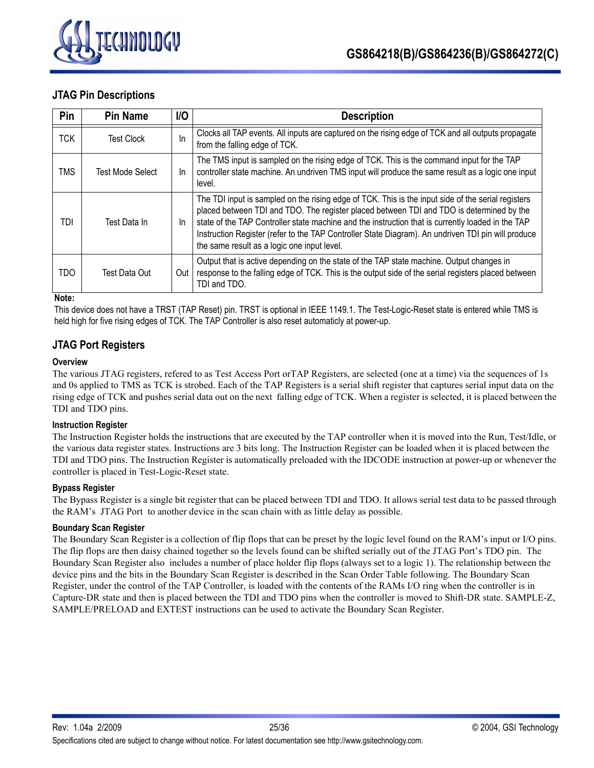

### **JTAG Pin Descriptions**

| Pin        | <b>Pin Name</b>         | <b>I/O</b> | <b>Description</b>                                                                                                                                                                                                                                                                                                                                                                                                                                       |
|------------|-------------------------|------------|----------------------------------------------------------------------------------------------------------------------------------------------------------------------------------------------------------------------------------------------------------------------------------------------------------------------------------------------------------------------------------------------------------------------------------------------------------|
| <b>TCK</b> | <b>Test Clock</b>       | In         | Clocks all TAP events. All inputs are captured on the rising edge of TCK and all outputs propagate<br>from the falling edge of TCK.                                                                                                                                                                                                                                                                                                                      |
| <b>TMS</b> | <b>Test Mode Select</b> | In.        | The TMS input is sampled on the rising edge of TCK. This is the command input for the TAP<br>controller state machine. An undriven TMS input will produce the same result as a logic one input<br>level.                                                                                                                                                                                                                                                 |
| TDI        | Test Data In            | In.        | The TDI input is sampled on the rising edge of TCK. This is the input side of the serial registers<br>placed between TDI and TDO. The register placed between TDI and TDO is determined by the<br>state of the TAP Controller state machine and the instruction that is currently loaded in the TAP<br>Instruction Register (refer to the TAP Controller State Diagram). An undriven TDI pin will produce<br>the same result as a logic one input level. |
| <b>TDO</b> | Test Data Out           | Out        | Output that is active depending on the state of the TAP state machine. Output changes in<br>response to the falling edge of TCK. This is the output side of the serial registers placed between<br>TDI and TDO.                                                                                                                                                                                                                                          |

**Note:**

This device does not have a TRST (TAP Reset) pin. TRST is optional in IEEE 1149.1. The Test-Logic-Reset state is entered while TMS is held high for five rising edges of TCK. The TAP Controller is also reset automaticly at power-up.

### **JTAG Port Registers**

### **Overview**

The various JTAG registers, refered to as Test Access Port orTAP Registers, are selected (one at a time) via the sequences of 1s and 0s applied to TMS as TCK is strobed. Each of the TAP Registers is a serial shift register that captures serial input data on the rising edge of TCK and pushes serial data out on the next falling edge of TCK. When a register is selected, it is placed between the TDI and TDO pins.

#### **Instruction Register**

The Instruction Register holds the instructions that are executed by the TAP controller when it is moved into the Run, Test/Idle, or the various data register states. Instructions are 3 bits long. The Instruction Register can be loaded when it is placed between the TDI and TDO pins. The Instruction Register is automatically preloaded with the IDCODE instruction at power-up or whenever the controller is placed in Test-Logic-Reset state.

### **Bypass Register**

The Bypass Register is a single bit register that can be placed between TDI and TDO. It allows serial test data to be passed through the RAM's JTAG Port to another device in the scan chain with as little delay as possible.

#### **Boundary Scan Register**

The Boundary Scan Register is a collection of flip flops that can be preset by the logic level found on the RAM's input or I/O pins. The flip flops are then daisy chained together so the levels found can be shifted serially out of the JTAG Port's TDO pin. The Boundary Scan Register also includes a number of place holder flip flops (always set to a logic 1). The relationship between the device pins and the bits in the Boundary Scan Register is described in the Scan Order Table following. The Boundary Scan Register, under the control of the TAP Controller, is loaded with the contents of the RAMs I/O ring when the controller is in Capture-DR state and then is placed between the TDI and TDO pins when the controller is moved to Shift-DR state. SAMPLE-Z, SAMPLE/PRELOAD and EXTEST instructions can be used to activate the Boundary Scan Register.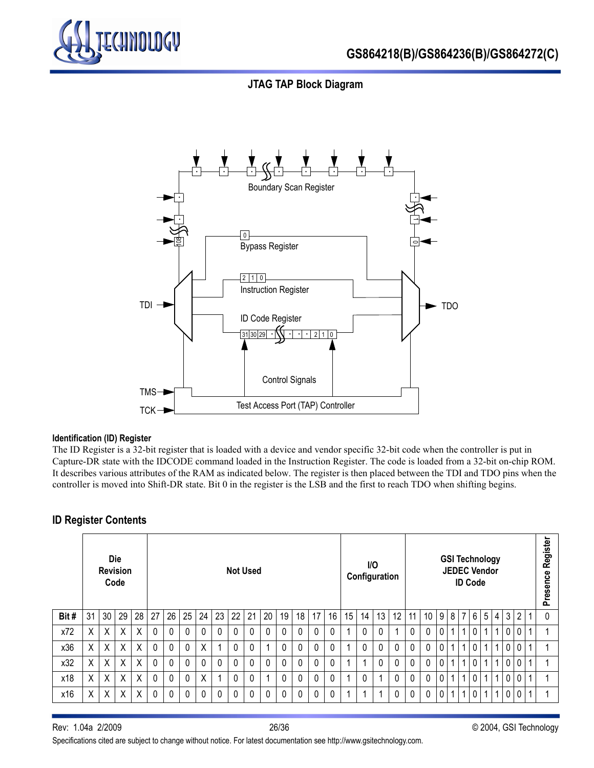

### **JTAG TAP Block Diagram**



#### **Identification (ID) Register**

The ID Register is a 32-bit register that is loaded with a device and vendor specific 32-bit code when the controller is put in Capture-DR state with the IDCODE command loaded in the Instruction Register. The code is loaded from a 32-bit on-chip ROM. It describes various attributes of the RAM as indicated below. The register is then placed between the TDI and TDO pins when the controller is moved into Shift-DR state. Bit 0 in the register is the LSB and the first to reach TDO when shifting begins.

### **ID Register Contents**

|      |    | <b>Revision</b> | <b>Die</b><br>Code | <b>Not Used</b> |              |          |    |          |          |          |    |    |              | I/O<br>Configuration |    |             |    |          | <b>GSI Technology</b><br><b>JEDEC Vendor</b><br><b>ID Code</b> |                 |    |          |   |                |                |              |                 |   | Register<br>Presence |                |  |   |
|------|----|-----------------|--------------------|-----------------|--------------|----------|----|----------|----------|----------|----|----|--------------|----------------------|----|-------------|----|----------|----------------------------------------------------------------|-----------------|----|----------|---|----------------|----------------|--------------|-----------------|---|----------------------|----------------|--|---|
| Bit# | 31 | 30              | 29                 | 28              | 27           | 26       | 25 | 24       | 23       | 22       | 21 | 20 | 19           | 18                   | 17 | 16          | 15 | 14       | 13                                                             | 12 <sup>°</sup> | 11 | 10       | 9 | 8 <sup>1</sup> | $\overline{7}$ | 6            | 5 <sup>1</sup>  | 4 | 3                    | $\overline{2}$ |  | 0 |
| x72  | X  | X               | X                  | X               | 0            | $\Omega$ | 0  | $\Omega$ | 0        | $\Omega$ | 0  |    | 0            | $\Omega$             | 0  | $\Omega$    |    | 0        | 0                                                              |                 | 0  | 0        | 0 |                | 1              | $\mathbf 0$  | 1 <sup>1</sup>  | 1 | $\overline{0}$       | $\mathbf{0}$   |  |   |
| x36  | X  | X               | X                  | X               | $\mathbf{0}$ | $\Omega$ | 0  | X        |          | $\Omega$ | 0  |    | 0            | $\Omega$             | 0  | $\Omega$    |    | $\Omega$ | 0                                                              | $\Omega$        | 0  | 0        | 0 |                | 1              | $\mathbf{0}$ | 1 <sup>1</sup>  |   | $\mathbf 0$          | $\mathbf{0}$   |  |   |
| x32  | X  | X               | Χ                  | X               | 0            | $\Omega$ | 0  | $\Omega$ | 0        | $\Omega$ | 0  |    | 0            | 0                    | 0  | $\mathbf 0$ |    |          | 0                                                              | $\Omega$        | 0  | 0        | 0 |                | $\mathbf{1}$   | $\mathbf 0$  | 1 I             | 1 | $\mathbf 0$          | 0              |  |   |
| x18  | X  | X               | X                  | X.              | $\Omega$     | $\Omega$ | 0  | X        |          | $\Omega$ | 0  |    | $\mathbf{0}$ | $\Omega$             | 0  | $\Omega$    |    | 0        |                                                                | $\Omega$        | 0  | $\Omega$ | 0 |                | $\mathbf 1$    | $\mathbf 0$  | -1              |   | $\mathbf 0$          | $\mathbf{0}$   |  |   |
| x16  | Χ  | Χ               | Χ                  | X               | $\Omega$     | $\Omega$ | 0  | $\Omega$ | $\Omega$ | $\Omega$ | 0  |    | 0            | $\Omega$             | 0  | $\Omega$    |    | и        |                                                                | $\Omega$        | 0  | 0        | 0 | 11             | 1 <sup>1</sup> | $\mathbf 0$  | $1 \mid 1 \mid$ |   | $\overline{0}$       | $\mathbf{0}$   |  |   |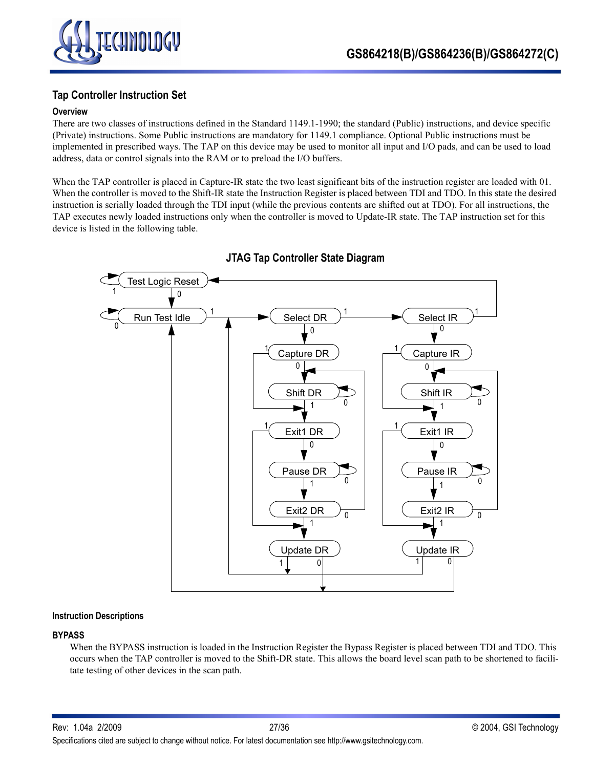

### **Tap Controller Instruction Set**

### **Overview**

There are two classes of instructions defined in the Standard 1149.1-1990; the standard (Public) instructions, and device specific (Private) instructions. Some Public instructions are mandatory for 1149.1 compliance. Optional Public instructions must be implemented in prescribed ways. The TAP on this device may be used to monitor all input and I/O pads, and can be used to load address, data or control signals into the RAM or to preload the I/O buffers.

When the TAP controller is placed in Capture-IR state the two least significant bits of the instruction register are loaded with 01. When the controller is moved to the Shift-IR state the Instruction Register is placed between TDI and TDO. In this state the desired instruction is serially loaded through the TDI input (while the previous contents are shifted out at TDO). For all instructions, the TAP executes newly loaded instructions only when the controller is moved to Update-IR state. The TAP instruction set for this device is listed in the following table.



**JTAG Tap Controller State Diagram**

#### **Instruction Descriptions**

#### **BYPASS**

When the BYPASS instruction is loaded in the Instruction Register the Bypass Register is placed between TDI and TDO. This occurs when the TAP controller is moved to the Shift-DR state. This allows the board level scan path to be shortened to facilitate testing of other devices in the scan path.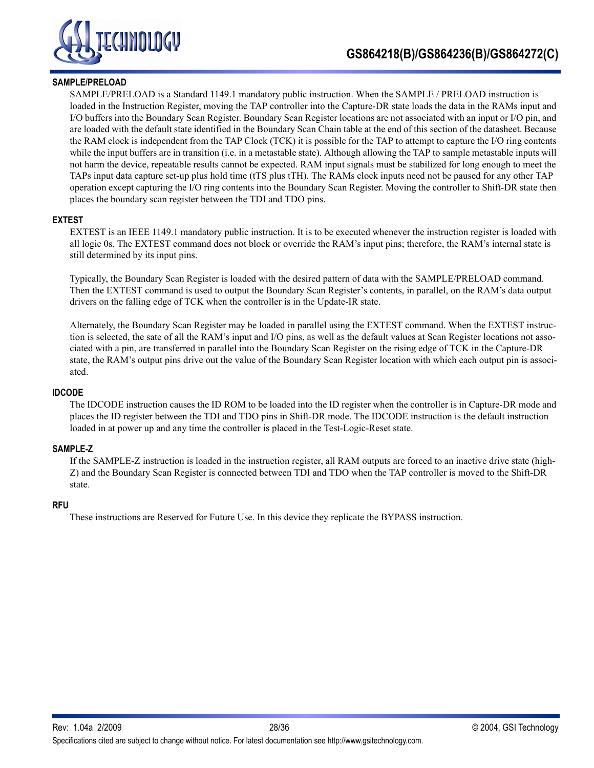

### **SAMPLE/PRELOAD**

SAMPLE/PRELOAD is a Standard 1149.1 mandatory public instruction. When the SAMPLE / PRELOAD instruction is loaded in the Instruction Register, moving the TAP controller into the Capture-DR state loads the data in the RAMs input and I/O buffers into the Boundary Scan Register. Boundary Scan Register locations are not associated with an input or I/O pin, and are loaded with the default state identified in the Boundary Scan Chain table at the end of this section of the datasheet. Because the RAM clock is independent from the TAP Clock (TCK) it is possible for the TAP to attempt to capture the I/O ring contents while the input buffers are in transition (i.e. in a metastable state). Although allowing the TAP to sample metastable inputs will not harm the device, repeatable results cannot be expected. RAM input signals must be stabilized for long enough to meet the TAPs input data capture set-up plus hold time (tTS plus tTH). The RAMs clock inputs need not be paused for any other TAP operation except capturing the I/O ring contents into the Boundary Scan Register. Moving the controller to Shift-DR state then places the boundary scan register between the TDI and TDO pins.

### **EXTEST**

EXTEST is an IEEE 1149.1 mandatory public instruction. It is to be executed whenever the instruction register is loaded with all logic 0s. The EXTEST command does not block or override the RAM's input pins; therefore, the RAM's internal state is still determined by its input pins.

Typically, the Boundary Scan Register is loaded with the desired pattern of data with the SAMPLE/PRELOAD command. Then the EXTEST command is used to output the Boundary Scan Register's contents, in parallel, on the RAM's data output drivers on the falling edge of TCK when the controller is in the Update-IR state.

Alternately, the Boundary Scan Register may be loaded in parallel using the EXTEST command. When the EXTEST instruction is selected, the sate of all the RAM's input and I/O pins, as well as the default values at Scan Register locations not associated with a pin, are transferred in parallel into the Boundary Scan Register on the rising edge of TCK in the Capture-DR state, the RAM's output pins drive out the value of the Boundary Scan Register location with which each output pin is associated.

#### **IDCODE**

The IDCODE instruction causes the ID ROM to be loaded into the ID register when the controller is in Capture-DR mode and places the ID register between the TDI and TDO pins in Shift-DR mode. The IDCODE instruction is the default instruction loaded in at power up and any time the controller is placed in the Test-Logic-Reset state.

#### **SAMPLE-Z**

If the SAMPLE-Z instruction is loaded in the instruction register, all RAM outputs are forced to an inactive drive state (high-Z) and the Boundary Scan Register is connected between TDI and TDO when the TAP controller is moved to the Shift-DR state.

#### **RFU**

These instructions are Reserved for Future Use. In this device they replicate the BYPASS instruction.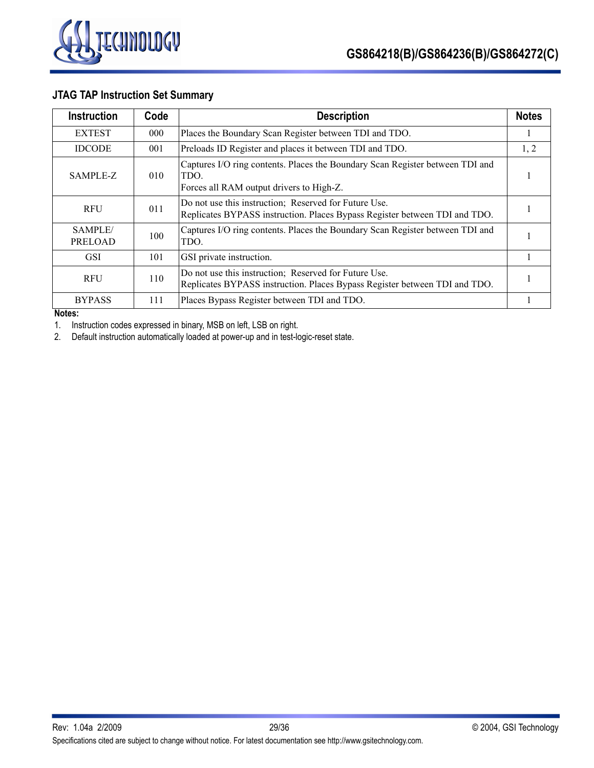

# **JTAG TAP Instruction Set Summary**

| <b>Instruction</b>        | Code | <b>Description</b>                                                                                                                  |   |
|---------------------------|------|-------------------------------------------------------------------------------------------------------------------------------------|---|
| <b>EXTEST</b>             | 000  | Places the Boundary Scan Register between TDI and TDO.                                                                              | л |
| <b>IDCODE</b>             | 001  | Preloads ID Register and places it between TDI and TDO.                                                                             |   |
| SAMPLE-Z                  | 010  | Captures I/O ring contents. Places the Boundary Scan Register between TDI and<br>TDO.<br>Forces all RAM output drivers to High-Z.   |   |
| <b>RFU</b>                | 011  | Do not use this instruction; Reserved for Future Use.<br>Replicates BYPASS instruction. Places Bypass Register between TDI and TDO. |   |
| SAMPLE/<br><b>PRELOAD</b> | 100  | Captures I/O ring contents. Places the Boundary Scan Register between TDI and<br>TDO.                                               |   |
| <b>GSI</b>                | 101  | GSI private instruction.                                                                                                            |   |
| <b>RFU</b>                | 110  | Do not use this instruction; Reserved for Future Use.<br>Replicates BYPASS instruction. Places Bypass Register between TDI and TDO. |   |
| <b>BYPASS</b>             | 111  | Places Bypass Register between TDI and TDO.                                                                                         |   |

### **Notes:**

1. Instruction codes expressed in binary, MSB on left, LSB on right.

2. Default instruction automatically loaded at power-up and in test-logic-reset state.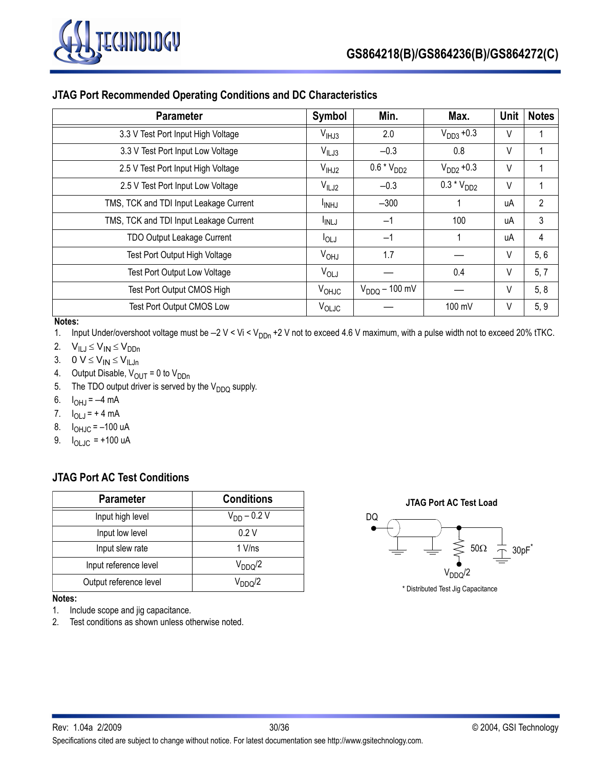

### **JTAG Port Recommended Operating Conditions and DC Characteristics**

| <b>Parameter</b>                       | Symbol            | Min.               | Max.            | Unit | <b>Notes</b>   |
|----------------------------------------|-------------------|--------------------|-----------------|------|----------------|
| 3.3 V Test Port Input High Voltage     | V <sub>HHJ3</sub> | 2.0                | $V_{DD3} + 0.3$ | V    |                |
| 3.3 V Test Port Input Low Voltage      | $V_{ILJ3}$        | $-0.3$             | 0.8             | V    |                |
| 2.5 V Test Port Input High Voltage     | $V_{IHJ2}$        | $0.6 * VDD2$       | $V_{DD2} + 0.3$ | V    |                |
| 2.5 V Test Port Input Low Voltage      | $V_{ILJ2}$        | $-0.3$             | $0.3 * V_{DD2}$ | V    |                |
| TMS, TCK and TDI Input Leakage Current | <sup>I</sup> INHJ | $-300$             |                 | uA   | $\overline{2}$ |
| TMS, TCK and TDI Input Leakage Current | <sup>I</sup> INLJ | $-1$               | 100             | uA   | 3              |
| <b>TDO Output Leakage Current</b>      | $I_{OLJ}$         | $-1$               |                 | uA   | 4              |
| <b>Test Port Output High Voltage</b>   | V <sub>OHJ</sub>  | 1.7                |                 | V    | 5, 6           |
| <b>Test Port Output Low Voltage</b>    | $V_{OLJ}$         |                    | 0.4             | V    | 5, 7           |
| Test Port Output CMOS High             | $V_{OHJC}$        | $V_{DDQ}$ – 100 mV |                 | V    | 5, 8           |
| Test Port Output CMOS Low              | $V_{OLJC}$        |                    | 100 mV          | V    | 5, 9           |

### **Notes:**

1. Input Under/overshoot voltage must be  $-2$  V < Vi < V<sub>DDn</sub> +2 V not to exceed 4.6 V maximum, with a pulse width not to exceed 20% tTKC.

- 2.  $V_{ILJ} \leq V_{IN} \leq V_{DDn}$
- 3.  $0 V \leq V_{IN} \leq V_{ILJn}$
- 4. Output Disable,  $V_{OUT} = 0$  to  $V_{DDn}$
- 5. The TDO output driver is served by the  $V_{DDQ}$  supply.
- 6.  $I_{\text{OH},I} = -4 \text{ mA}$
- 7.  $I_{OLJ} = +4 \text{ mA}$
- 8.  $I_{OHJC} = -100 \text{ uA}$
- 9.  $I_{OLJC}$  = +100 uA

### **JTAG Port AC Test Conditions**

| <b>Parameter</b>       | <b>Conditions</b> |  |
|------------------------|-------------------|--|
| Input high level       | $V_{DD} - 0.2 V$  |  |
| Input low level        | 0.2V              |  |
| Input slew rate        | $1$ V/ns          |  |
| Input reference level  | $V_{DDQ}/2$       |  |
| Output reference level | $V_{DDO}/2$       |  |

#### **Notes:**

- 1. Include scope and jig capacitance.
- 2. Test conditions as shown unless otherwise noted.



\* Distributed Test Jig Capacitance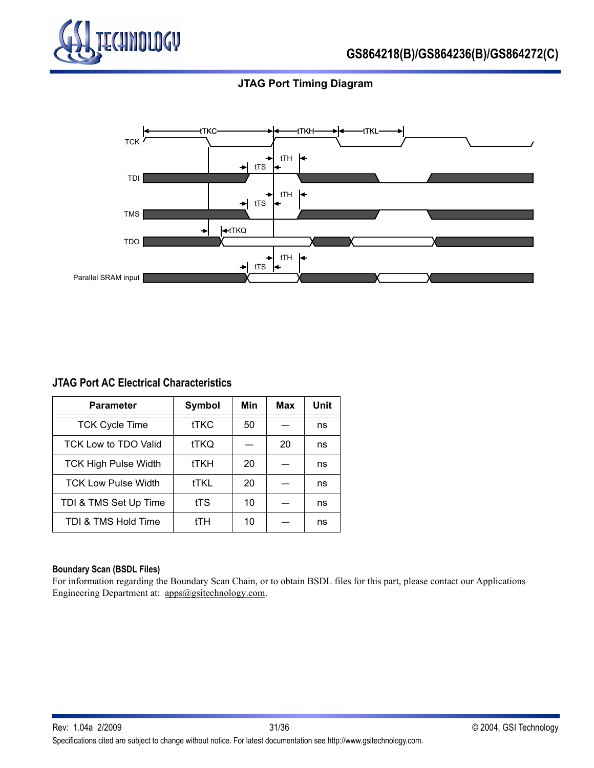

### **JTAG Port Timing Diagram**



### **JTAG Port AC Electrical Characteristics**

| <b>Parameter</b>            | Symbol      | Min | <b>Max</b> | Unit |
|-----------------------------|-------------|-----|------------|------|
| <b>TCK Cycle Time</b>       | <b>tTKC</b> | 50  |            | ns   |
| TCK Low to TDO Valid        | tTKQ        |     | 20         | ns   |
| <b>TCK High Pulse Width</b> | tTKH        | 20  |            | ns   |
| <b>TCK Low Pulse Width</b>  | <b>tTKL</b> | 20  |            | ns   |
| TDI & TMS Set Up Time       | tTS         | 10  |            | ns   |
| TDI & TMS Hold Time         | tTH         | 10  |            | ns   |

#### **Boundary Scan (BSDL Files)**

For information regarding the Boundary Scan Chain, or to obtain BSDL files for this part, please contact our Applications Engineering Department at: apps@gsitechnology.com.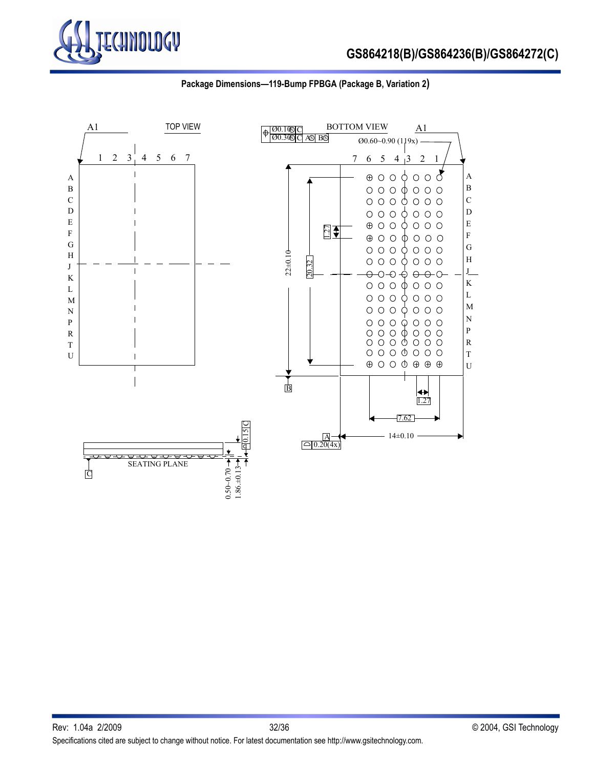



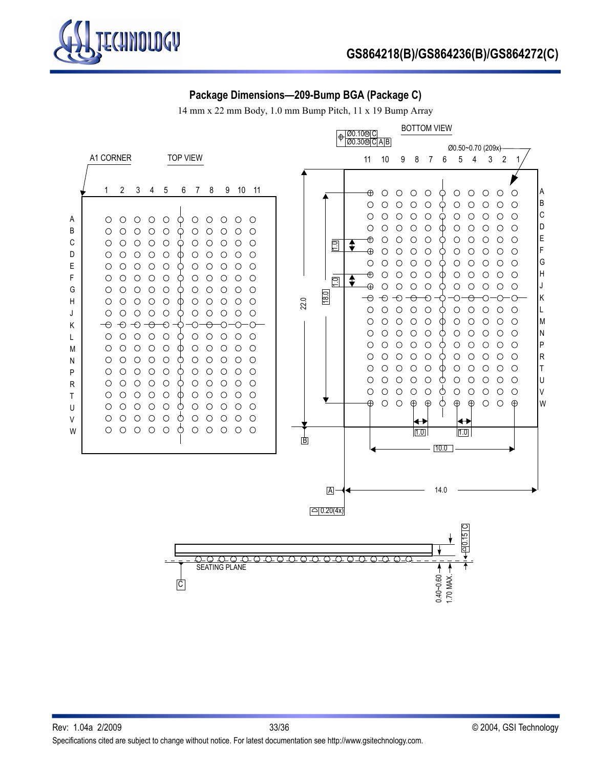

### **Package Dimensions—209-Bump BGA (Package C)**

14 mm x 22 mm Body, 1.0 mm Bump Pitch, 11 x 19 Bump Array

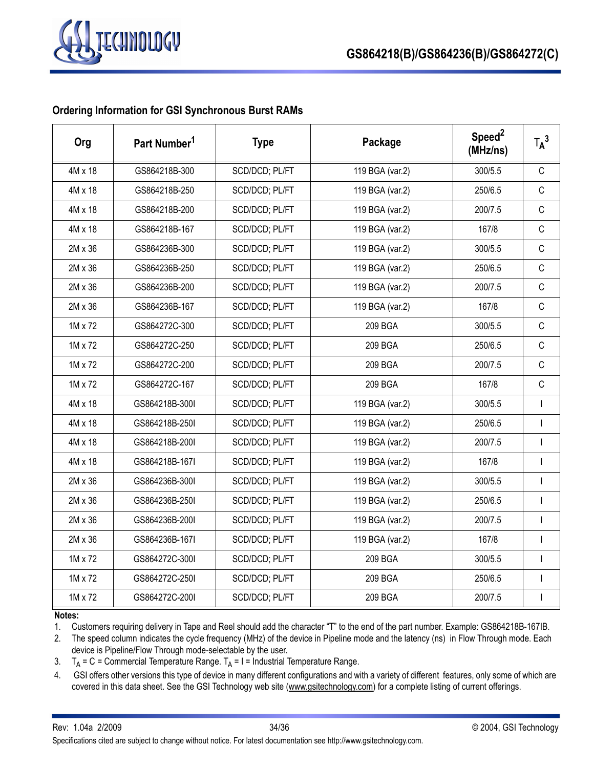

### **Ordering Information for GSI Synchronous Burst RAMs**

| Org            | Part Number <sup>1</sup> | <b>Type</b>    | Package         | Speed <sup>2</sup><br>(MHz/ns) | $T_A^3$      |
|----------------|--------------------------|----------------|-----------------|--------------------------------|--------------|
| 4M x 18        | GS864218B-300            | SCD/DCD; PL/FT | 119 BGA (var.2) | 300/5.5                        | $\mathsf{C}$ |
| 4M x 18        | GS864218B-250            | SCD/DCD; PL/FT | 119 BGA (var.2) | 250/6.5                        | $\mathsf{C}$ |
| $4M \times 18$ | GS864218B-200            | SCD/DCD; PL/FT | 119 BGA (var.2) | 200/7.5                        | $\mathsf{C}$ |
| 4M x 18        | GS864218B-167            | SCD/DCD; PL/FT | 119 BGA (var.2) | 167/8                          | $\mathsf{C}$ |
| 2M x 36        | GS864236B-300            | SCD/DCD; PL/FT | 119 BGA (var.2) | 300/5.5                        | $\mathsf{C}$ |
| 2M x 36        | GS864236B-250            | SCD/DCD; PL/FT | 119 BGA (var.2) | 250/6.5                        | $\mathsf C$  |
| 2M x 36        | GS864236B-200            | SCD/DCD; PL/FT | 119 BGA (var.2) | 200/7.5                        | $\mathsf{C}$ |
| 2M x 36        | GS864236B-167            | SCD/DCD; PL/FT | 119 BGA (var.2) | 167/8                          | $\mathsf{C}$ |
| 1M x 72        | GS864272C-300            | SCD/DCD; PL/FT | 209 BGA         | 300/5.5                        | $\mathsf C$  |
| 1M x 72        | GS864272C-250            | SCD/DCD; PL/FT | 209 BGA         | 250/6.5                        | $\mathsf{C}$ |
| 1M x 72        | GS864272C-200            | SCD/DCD; PL/FT | 209 BGA         | 200/7.5                        | $\mathsf C$  |
| 1M x 72        | GS864272C-167            | SCD/DCD; PL/FT | 209 BGA         | 167/8                          | $\mathsf C$  |
| 4M x 18        | GS864218B-300I           | SCD/DCD; PL/FT | 119 BGA (var.2) | 300/5.5                        | $\mathbf{I}$ |
| 4M x 18        | GS864218B-250I           | SCD/DCD; PL/FT | 119 BGA (var.2) | 250/6.5                        | $\mathbf{I}$ |
| 4M x 18        | GS864218B-200I           | SCD/DCD; PL/FT | 119 BGA (var.2) | 200/7.5                        | $\mathbf{I}$ |
| 4M x 18        | GS864218B-167I           | SCD/DCD; PL/FT | 119 BGA (var.2) | 167/8                          | $\mathbf{I}$ |
| 2M x 36        | GS864236B-300I           | SCD/DCD; PL/FT | 119 BGA (var.2) | 300/5.5                        | $\mathbf{I}$ |
| 2M x 36        | GS864236B-250I           | SCD/DCD; PL/FT | 119 BGA (var.2) | 250/6.5                        | $\mathbf{I}$ |
| 2M x 36        | GS864236B-200I           | SCD/DCD; PL/FT | 119 BGA (var.2) | 200/7.5                        | $\mathbf{I}$ |
| 2M x 36        | GS864236B-167I           | SCD/DCD; PL/FT | 119 BGA (var.2) | 167/8                          | $\mathbf{I}$ |
| 1M x 72        | GS864272C-300I           | SCD/DCD; PL/FT | 209 BGA         | 300/5.5                        |              |
| 1M x 72        | GS864272C-250I           | SCD/DCD; PL/FT | 209 BGA         | 250/6.5                        | $\mathbf{I}$ |
| 1M x 72        | GS864272C-200I           | SCD/DCD; PL/FT | 209 BGA         | 200/7.5                        | $\mathbf{I}$ |

### **Notes:**

1. Customers requiring delivery in Tape and Reel should add the character "T" to the end of the part number. Example: GS864218B-167IB.

2. The speed column indicates the cycle frequency (MHz) of the device in Pipeline mode and the latency (ns) in Flow Through mode. Each device is Pipeline/Flow Through mode-selectable by the user.

3.  $T_A = C =$ Commercial Temperature Range.  $T_A = I =$ Industrial Temperature Range.

4. GSI offers other versions this type of device in many different configurations and with a variety of different features, only some of which are covered in this data sheet. See the GSI Technology web site (www.gsitechnology.com) for a complete listing of current offerings.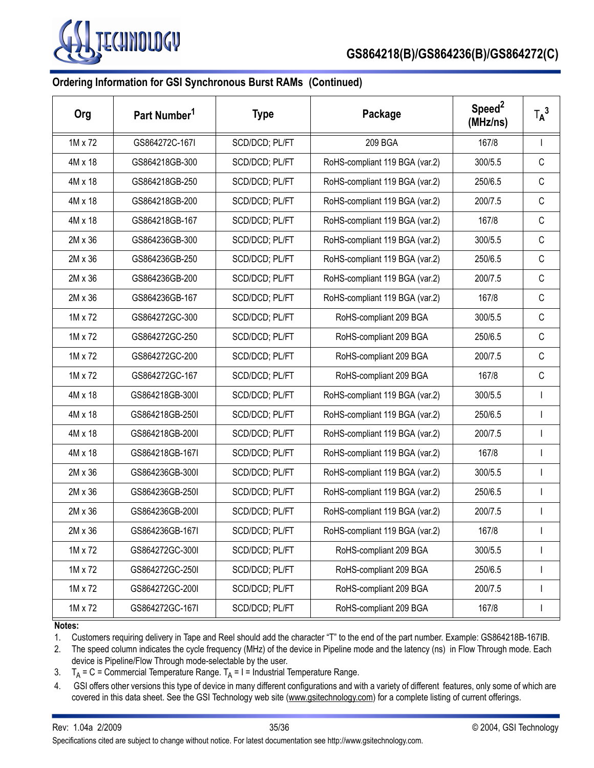

# **Ordering Information for GSI Synchronous Burst RAMs (Continued)**

| Org     | Part Number <sup>1</sup> | <b>Type</b>    | Package                        | Speed <sup>2</sup><br>(MHz/ns) | $T_A^3$      |
|---------|--------------------------|----------------|--------------------------------|--------------------------------|--------------|
| 1M x 72 | GS864272C-167I           | SCD/DCD; PL/FT | 209 BGA                        | 167/8                          | $\mathbf{I}$ |
| 4M x 18 | GS864218GB-300           | SCD/DCD; PL/FT | RoHS-compliant 119 BGA (var.2) | 300/5.5                        | C            |
| 4M x 18 | GS864218GB-250           | SCD/DCD; PL/FT | RoHS-compliant 119 BGA (var.2) | 250/6.5                        | C            |
| 4M x 18 | GS864218GB-200           | SCD/DCD; PL/FT | RoHS-compliant 119 BGA (var.2) | 200/7.5                        | C            |
| 4M x 18 | GS864218GB-167           | SCD/DCD; PL/FT | RoHS-compliant 119 BGA (var.2) | 167/8                          | C            |
| 2M x 36 | GS864236GB-300           | SCD/DCD; PL/FT | RoHS-compliant 119 BGA (var.2) | 300/5.5                        | C            |
| 2M x 36 | GS864236GB-250           | SCD/DCD; PL/FT | RoHS-compliant 119 BGA (var.2) | 250/6.5                        | C            |
| 2M x 36 | GS864236GB-200           | SCD/DCD; PL/FT | RoHS-compliant 119 BGA (var.2) | 200/7.5                        | C            |
| 2M x 36 | GS864236GB-167           | SCD/DCD; PL/FT | RoHS-compliant 119 BGA (var.2) | 167/8                          | C            |
| 1M x 72 | GS864272GC-300           | SCD/DCD; PL/FT | RoHS-compliant 209 BGA         | 300/5.5                        | C            |
| 1M x 72 | GS864272GC-250           | SCD/DCD; PL/FT | RoHS-compliant 209 BGA         | 250/6.5                        | C            |
| 1M x 72 | GS864272GC-200           | SCD/DCD; PL/FT | RoHS-compliant 209 BGA         | 200/7.5                        | C            |
| 1M x 72 | GS864272GC-167           | SCD/DCD; PL/FT | RoHS-compliant 209 BGA         | 167/8                          | C            |
| 4M x 18 | GS864218GB-300I          | SCD/DCD; PL/FT | RoHS-compliant 119 BGA (var.2) | 300/5.5                        | $\mathbf{I}$ |
| 4M x 18 | GS864218GB-250I          | SCD/DCD; PL/FT | RoHS-compliant 119 BGA (var.2) | 250/6.5                        |              |
| 4M x 18 | GS864218GB-200I          | SCD/DCD; PL/FT | RoHS-compliant 119 BGA (var.2) | 200/7.5                        |              |
| 4M x 18 | GS864218GB-167I          | SCD/DCD; PL/FT | RoHS-compliant 119 BGA (var.2) | 167/8                          | $\mathbf{I}$ |
| 2M x 36 | GS864236GB-300I          | SCD/DCD; PL/FT | RoHS-compliant 119 BGA (var.2) | 300/5.5                        |              |
| 2M x 36 | GS864236GB-250I          | SCD/DCD; PL/FT | RoHS-compliant 119 BGA (var.2) | 250/6.5                        |              |
| 2M x 36 | GS864236GB-200I          | SCD/DCD; PL/FT | RoHS-compliant 119 BGA (var.2) | 200/7.5                        | $\mathbf{I}$ |
| 2M x 36 | GS864236GB-167I          | SCD/DCD; PL/FT | RoHS-compliant 119 BGA (var.2) | 167/8                          |              |
| 1M x 72 | GS864272GC-300I          | SCD/DCD; PL/FT | RoHS-compliant 209 BGA         | 300/5.5                        |              |
| 1M x 72 | GS864272GC-250I          | SCD/DCD; PL/FT | RoHS-compliant 209 BGA         | 250/6.5                        |              |
| 1M x 72 | GS864272GC-200I          | SCD/DCD; PL/FT | RoHS-compliant 209 BGA         | 200/7.5                        |              |
| 1M x 72 | GS864272GC-167I          | SCD/DCD; PL/FT | RoHS-compliant 209 BGA         | 167/8                          |              |

#### **Notes:**

1. Customers requiring delivery in Tape and Reel should add the character "T" to the end of the part number. Example: GS864218B-167IB.

2. The speed column indicates the cycle frequency (MHz) of the device in Pipeline mode and the latency (ns) in Flow Through mode. Each device is Pipeline/Flow Through mode-selectable by the user.

- 3.  $T_A = C =$  Commercial Temperature Range.  $T_A = I =$  Industrial Temperature Range.
- 4. GSI offers other versions this type of device in many different configurations and with a variety of different features, only some of which are covered in this data sheet. See the GSI Technology web site (www.gsitechnology.com) for a complete listing of current offerings.